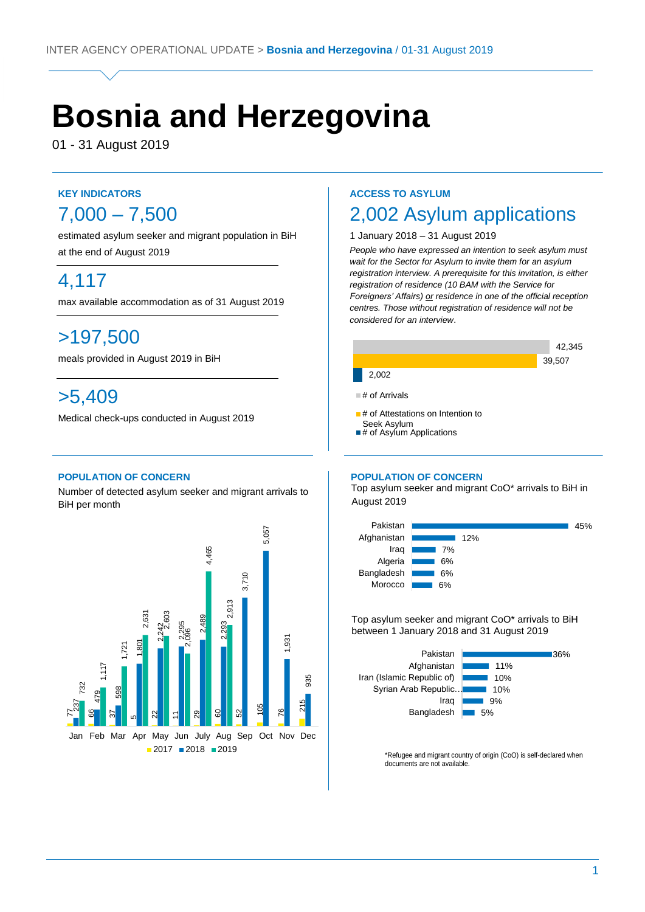# **Bosnia and Herzegovina**

01 - 31 August 2019

# **KEY INDICATORS**  $7,000 - 7,500$

estimated asylum seeker and migrant population in BiH at the end of August 2019

# 4,117

max available accommodation as of 31 August 2019

# >197,500

meals provided in August 2019 in BiH

# >5,409

Medical check-ups conducted in August 2019

### **POPULATION OF CONCERN**

Number of detected asylum seeker and migrant arrivals to BiH per month



# **ACCESS TO ASYLUM**

# 2,002 Asylum applications

### 1 January 2018 – 31 August 2019

*People who have expressed an intention to seek asylum must wait for the Sector for Asylum to invite them for an asylum registration interview. A prerequisite for this invitation, is either registration of residence (10 BAM with the Service for Foreigners' Affairs) or residence in one of the official reception centres. Those without registration of residence will not be considered for an interview*.



#### **POPULATION OF CONCERN**

 Top asylum seeker and migrant CoO\* arrivals to BiH in August 2019



Top asylum seeker and migrant CoO\* arrivals to BiH between 1 January 2018 and 31 August 2019



\*Refugee and migrant country of origin (CoO) is self-declared when documents are not available.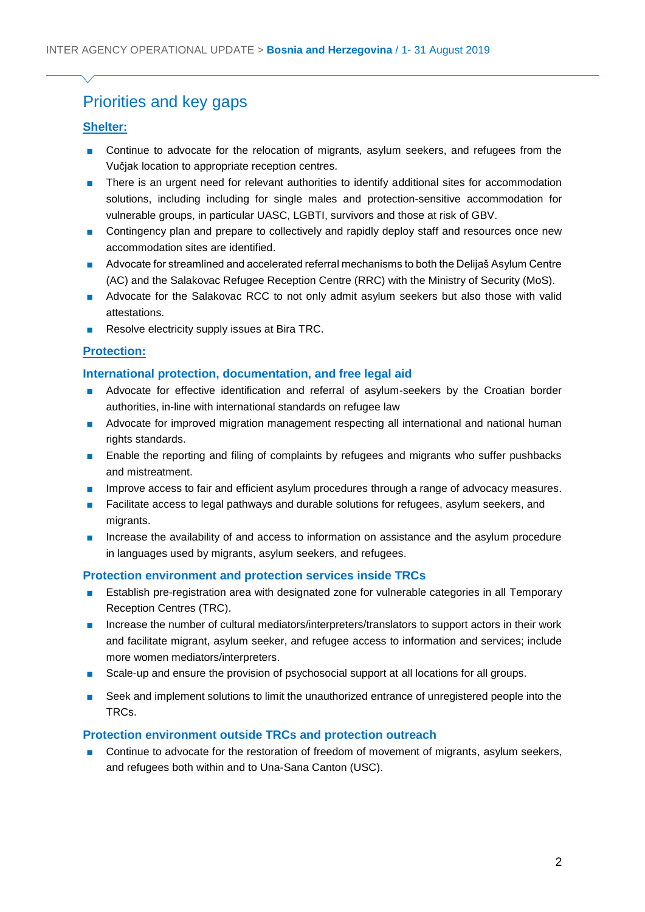# Priorities and key gaps

# **Shelter:**

- Continue to advocate for the relocation of migrants, asylum seekers, and refugees from the Vučjak location to appropriate reception centres.
- There is an urgent need for relevant authorities to identify additional sites for accommodation solutions, including including for single males and protection-sensitive accommodation for vulnerable groups, in particular UASC, LGBTI, survivors and those at risk of GBV.
- Contingency plan and prepare to collectively and rapidly deploy staff and resources once new accommodation sites are identified.
- Advocate for streamlined and accelerated referral mechanisms to both the Delijaš Asylum Centre (AC) and the Salakovac Refugee Reception Centre (RRC) with the Ministry of Security (MoS).
- Advocate for the Salakovac RCC to not only admit asylum seekers but also those with valid attestations.
- Resolve electricity supply issues at Bira TRC.

# **Protection:**

### **International protection, documentation, and free legal aid**

- Advocate for effective identification and referral of asylum-seekers by the Croatian border authorities, in-line with international standards on refugee law
- Advocate for improved migration management respecting all international and national human rights standards.
- Enable the reporting and filing of complaints by refugees and migrants who suffer pushbacks and mistreatment.
- Improve access to fair and efficient asylum procedures through a range of advocacy measures.
- Facilitate access to legal pathways and durable solutions for refugees, asylum seekers, and migrants.
- Increase the availability of and access to information on assistance and the asylum procedure in languages used by migrants, asylum seekers, and refugees.

# **Protection environment and protection services inside TRCs**

- Establish pre-registration area with designated zone for vulnerable categories in all Temporary Reception Centres (TRC).
- Increase the number of cultural mediators/interpreters/translators to support actors in their work and facilitate migrant, asylum seeker, and refugee access to information and services; include more women mediators/interpreters.
- Scale-up and ensure the provision of psychosocial support at all locations for all groups.
- Seek and implement solutions to limit the unauthorized entrance of unregistered people into the TRCs.

# **Protection environment outside TRCs and protection outreach**

■ Continue to advocate for the restoration of freedom of movement of migrants, asylum seekers, and refugees both within and to Una-Sana Canton (USC).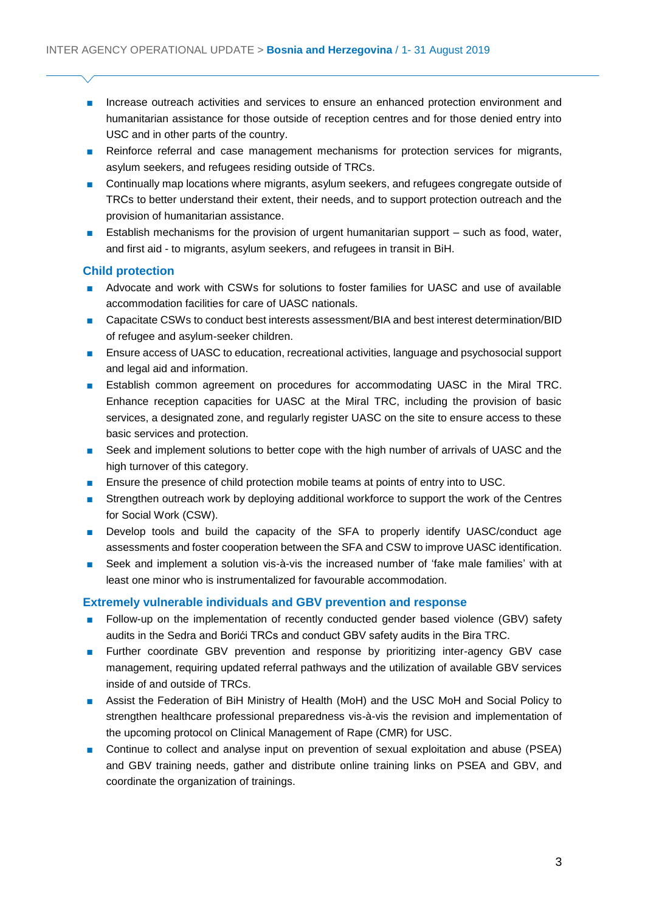- Increase outreach activities and services to ensure an enhanced protection environment and humanitarian assistance for those outside of reception centres and for those denied entry into USC and in other parts of the country.
- Reinforce referral and case management mechanisms for protection services for migrants, asylum seekers, and refugees residing outside of TRCs.
- Continually map locations where migrants, asylum seekers, and refugees congregate outside of TRCs to better understand their extent, their needs, and to support protection outreach and the provision of humanitarian assistance.
- Establish mechanisms for the provision of urgent humanitarian support such as food, water, and first aid - to migrants, asylum seekers, and refugees in transit in BiH.

### **Child protection**

- Advocate and work with CSWs for solutions to foster families for UASC and use of available accommodation facilities for care of UASC nationals.
- Capacitate CSWs to conduct best interests assessment/BIA and best interest determination/BID of refugee and asylum-seeker children.
- Ensure access of UASC to education, recreational activities, language and psychosocial support and legal aid and information.
- Establish common agreement on procedures for accommodating UASC in the Miral TRC. Enhance reception capacities for UASC at the Miral TRC, including the provision of basic services, a designated zone, and regularly register UASC on the site to ensure access to these basic services and protection.
- Seek and implement solutions to better cope with the high number of arrivals of UASC and the high turnover of this category.
- Ensure the presence of child protection mobile teams at points of entry into to USC.
- Strengthen outreach work by deploying additional workforce to support the work of the Centres for Social Work (CSW).
- Develop tools and build the capacity of the SFA to properly identify UASC/conduct age assessments and foster cooperation between the SFA and CSW to improve UASC identification.
- Seek and implement a solution vis-à-vis the increased number of 'fake male families' with at least one minor who is instrumentalized for favourable accommodation.

# **Extremely vulnerable individuals and GBV prevention and response**

- Follow-up on the implementation of recently conducted gender based violence (GBV) safety audits in the Sedra and Borići TRCs and conduct GBV safety audits in the Bira TRC.
- Further coordinate GBV prevention and response by prioritizing inter-agency GBV case management, requiring updated referral pathways and the utilization of available GBV services inside of and outside of TRCs.
- Assist the Federation of BiH Ministry of Health (MoH) and the USC MoH and Social Policy to strengthen healthcare professional preparedness vis-à-vis the revision and implementation of the upcoming protocol on Clinical Management of Rape (CMR) for USC.
- Continue to collect and analyse input on prevention of sexual exploitation and abuse (PSEA) and GBV training needs, gather and distribute online training links on PSEA and GBV, and coordinate the organization of trainings.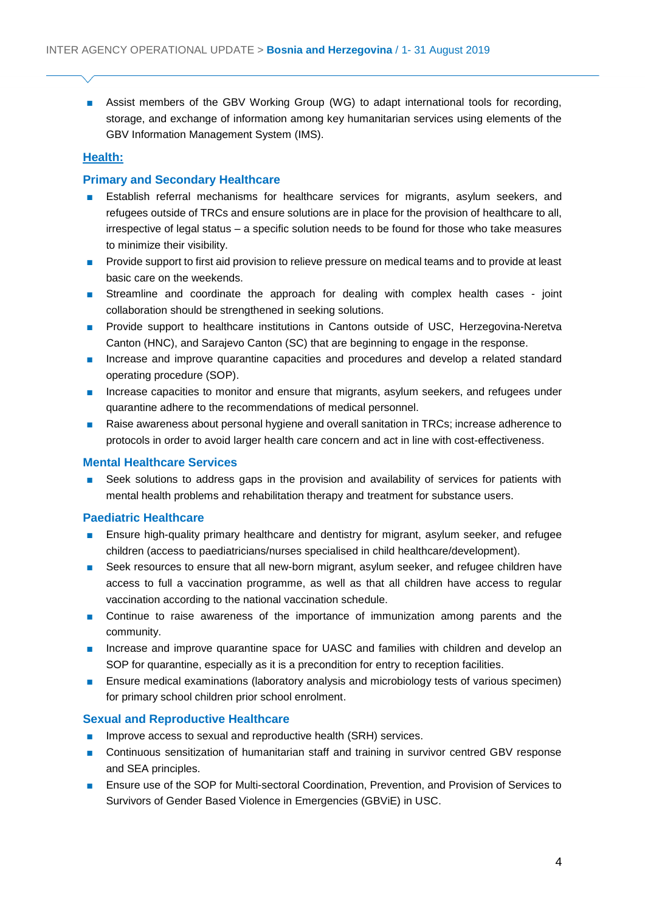■ Assist members of the GBV Working Group (WG) to adapt international tools for recording, storage, and exchange of information among key humanitarian services using elements of the GBV Information Management System (IMS).

# **Health:**

# **Primary and Secondary Healthcare**

- Establish referral mechanisms for healthcare services for migrants, asylum seekers, and refugees outside of TRCs and ensure solutions are in place for the provision of healthcare to all, irrespective of legal status – a specific solution needs to be found for those who take measures to minimize their visibility.
- Provide support to first aid provision to relieve pressure on medical teams and to provide at least basic care on the weekends.
- Streamline and coordinate the approach for dealing with complex health cases joint collaboration should be strengthened in seeking solutions.
- Provide support to healthcare institutions in Cantons outside of USC, Herzegovina-Neretva Canton (HNC), and Sarajevo Canton (SC) that are beginning to engage in the response.
- Increase and improve quarantine capacities and procedures and develop a related standard operating procedure (SOP).
- Increase capacities to monitor and ensure that migrants, asylum seekers, and refugees under quarantine adhere to the recommendations of medical personnel.
- Raise awareness about personal hygiene and overall sanitation in TRCs; increase adherence to protocols in order to avoid larger health care concern and act in line with cost-effectiveness.

### **Mental Healthcare Services**

■ Seek solutions to address gaps in the provision and availability of services for patients with mental health problems and rehabilitation therapy and treatment for substance users.

### **Paediatric Healthcare**

- Ensure high-quality primary healthcare and dentistry for migrant, asylum seeker, and refugee children (access to paediatricians/nurses specialised in child healthcare/development).
- Seek resources to ensure that all new-born migrant, asylum seeker, and refugee children have access to full a vaccination programme, as well as that all children have access to regular vaccination according to the national vaccination schedule.
- Continue to raise awareness of the importance of immunization among parents and the community.
- Increase and improve quarantine space for UASC and families with children and develop an SOP for quarantine, especially as it is a precondition for entry to reception facilities.
- Ensure medical examinations (laboratory analysis and microbiology tests of various specimen) for primary school children prior school enrolment.

### **Sexual and Reproductive Healthcare**

- Improve access to sexual and reproductive health (SRH) services.
- Continuous sensitization of humanitarian staff and training in survivor centred GBV response and SEA principles.
- Ensure use of the SOP for Multi-sectoral Coordination, Prevention, and Provision of Services to Survivors of Gender Based Violence in Emergencies (GBViE) in USC.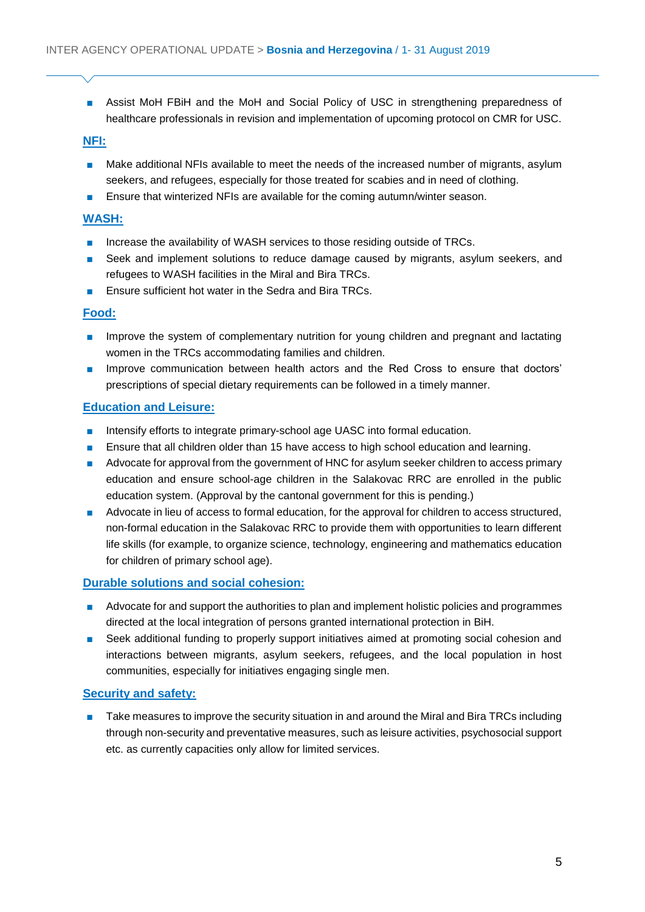■ Assist MoH FBiH and the MoH and Social Policy of USC in strengthening preparedness of healthcare professionals in revision and implementation of upcoming protocol on CMR for USC.

# **NFI:**

- Make additional NFIs available to meet the needs of the increased number of migrants, asylum seekers, and refugees, especially for those treated for scabies and in need of clothing.
- Ensure that winterized NFIs are available for the coming autumn/winter season.

# **WASH:**

- Increase the availability of WASH services to those residing outside of TRCs.
- Seek and implement solutions to reduce damage caused by migrants, asylum seekers, and refugees to WASH facilities in the Miral and Bira TRCs.
- Ensure sufficient hot water in the Sedra and Bira TRCs.

### **Food:**

- Improve the system of complementary nutrition for young children and pregnant and lactating women in the TRCs accommodating families and children.
- Improve communication between health actors and the Red Cross to ensure that doctors' prescriptions of special dietary requirements can be followed in a timely manner.

# **Education and Leisure:**

- Intensify efforts to integrate primary-school age UASC into formal education.
- Ensure that all children older than 15 have access to high school education and learning.
- Advocate for approval from the government of HNC for asylum seeker children to access primary education and ensure school-age children in the Salakovac RRC are enrolled in the public education system. (Approval by the cantonal government for this is pending.)
- Advocate in lieu of access to formal education, for the approval for children to access structured, non-formal education in the Salakovac RRC to provide them with opportunities to learn different life skills (for example, to organize science, technology, engineering and mathematics education for children of primary school age).

# **Durable solutions and social cohesion:**

- Advocate for and support the authorities to plan and implement holistic policies and programmes directed at the local integration of persons granted international protection in BiH.
- Seek additional funding to properly support initiatives aimed at promoting social cohesion and interactions between migrants, asylum seekers, refugees, and the local population in host communities, especially for initiatives engaging single men.

# **Security and safety:**

Take measures to improve the security situation in and around the Miral and Bira TRCs including through non-security and preventative measures, such as leisure activities, psychosocial support etc. as currently capacities only allow for limited services.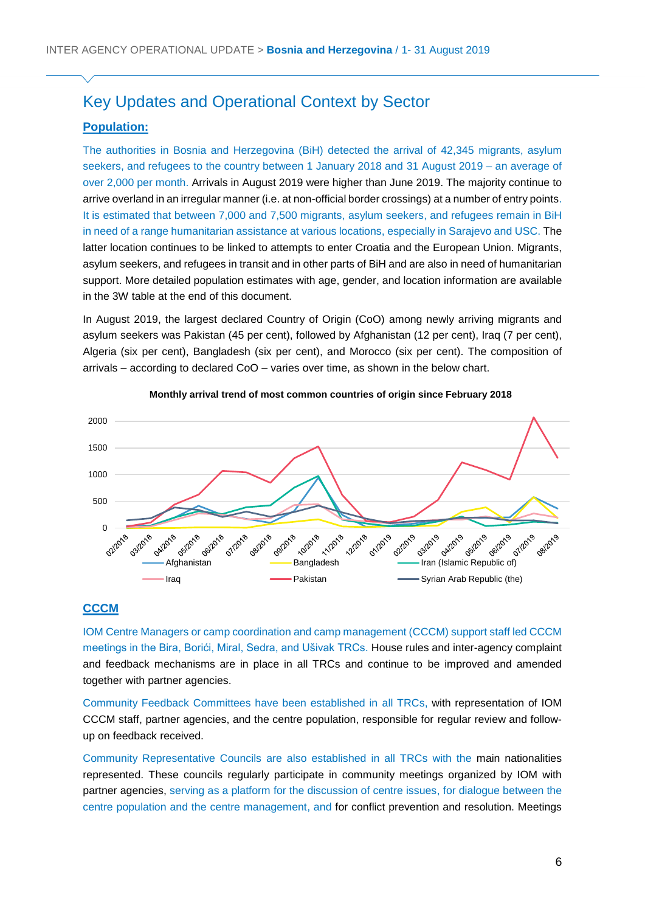# Key Updates and Operational Context by Sector

# **Population:**

The authorities in Bosnia and Herzegovina (BiH) detected the arrival of 42,345 migrants, asylum seekers, and refugees to the country between 1 January 2018 and 31 August 2019 – an average of over 2,000 per month. Arrivals in August 2019 were higher than June 2019. The majority continue to arrive overland in an irregular manner (i.e. at non-official border crossings) at a number of entry points. It is estimated that between 7,000 and 7,500 migrants, asylum seekers, and refugees remain in BiH in need of a range humanitarian assistance at various locations, especially in Sarajevo and USC. The latter location continues to be linked to attempts to enter Croatia and the European Union. Migrants, asylum seekers, and refugees in transit and in other parts of BiH and are also in need of humanitarian support. More detailed population estimates with age, gender, and location information are available in the 3W table at the end of this document.

In August 2019, the largest declared Country of Origin (CoO) among newly arriving migrants and asylum seekers was Pakistan (45 per cent), followed by Afghanistan (12 per cent), Iraq (7 per cent), Algeria (six per cent), Bangladesh (six per cent), and Morocco (six per cent). The composition of arrivals – according to declared CoO – varies over time, as shown in the below chart.





### **CCCM**

IOM Centre Managers or camp coordination and camp management (CCCM) support staff led CCCM meetings in the Bira, Borići, Miral, Sedra, and Ušivak TRCs. House rules and inter-agency complaint and feedback mechanisms are in place in all TRCs and continue to be improved and amended together with partner agencies.

Community Feedback Committees have been established in all TRCs, with representation of IOM CCCM staff, partner agencies, and the centre population, responsible for regular review and followup on feedback received.

Community Representative Councils are also established in all TRCs with the main nationalities represented. These councils regularly participate in community meetings organized by IOM with partner agencies, serving as a platform for the discussion of centre issues, for dialogue between the centre population and the centre management, and for conflict prevention and resolution. Meetings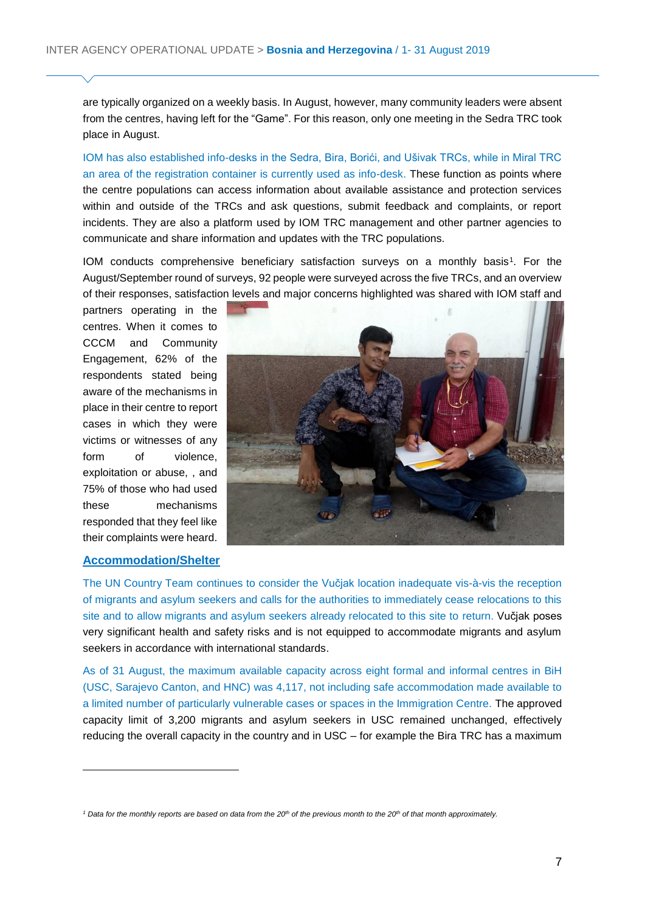are typically organized on a weekly basis. In August, however, many community leaders were absent from the centres, having left for the "Game". For this reason, only one meeting in the Sedra TRC took place in August.

IOM has also established info-desks in the Sedra, Bira, Borići, and Ušivak TRCs, while in Miral TRC an area of the registration container is currently used as info-desk. These function as points where the centre populations can access information about available assistance and protection services within and outside of the TRCs and ask questions, submit feedback and complaints, or report incidents. They are also a platform used by IOM TRC management and other partner agencies to communicate and share information and updates with the TRC populations.

IOM conducts comprehensive beneficiary satisfaction surveys on a monthly basis<sup>1</sup>. For the August/September round of surveys, 92 people were surveyed across the five TRCs, and an overview of their responses, satisfaction levels and major concerns highlighted was shared with IOM staff and

partners operating in the centres. When it comes to CCCM and Community Engagement, 62% of the respondents stated being aware of the mechanisms in place in their centre to report cases in which they were victims or witnesses of any form of violence, exploitation or abuse, , and 75% of those who had used these mechanisms responded that they feel like their complaints were heard.

#### **Accommodation/Shelter**

 $\overline{a}$ 



The UN Country Team continues to consider the Vučjak location inadequate vis-à-vis the reception of migrants and asylum seekers and calls for the authorities to immediately cease relocations to this site and to allow migrants and asylum seekers already relocated to this site to return. Vučjak poses very significant health and safety risks and is not equipped to accommodate migrants and asylum seekers in accordance with international standards.

As of 31 August, the maximum available capacity across eight formal and informal centres in BiH (USC, Sarajevo Canton, and HNC) was 4,117, not including safe accommodation made available to a limited number of particularly vulnerable cases or spaces in the Immigration Centre. The approved capacity limit of 3,200 migrants and asylum seekers in USC remained unchanged, effectively reducing the overall capacity in the country and in USC – for example the Bira TRC has a maximum

*<sup>1</sup> Data for the monthly reports are based on data from the 20th of the previous month to the 20th of that month approximately.*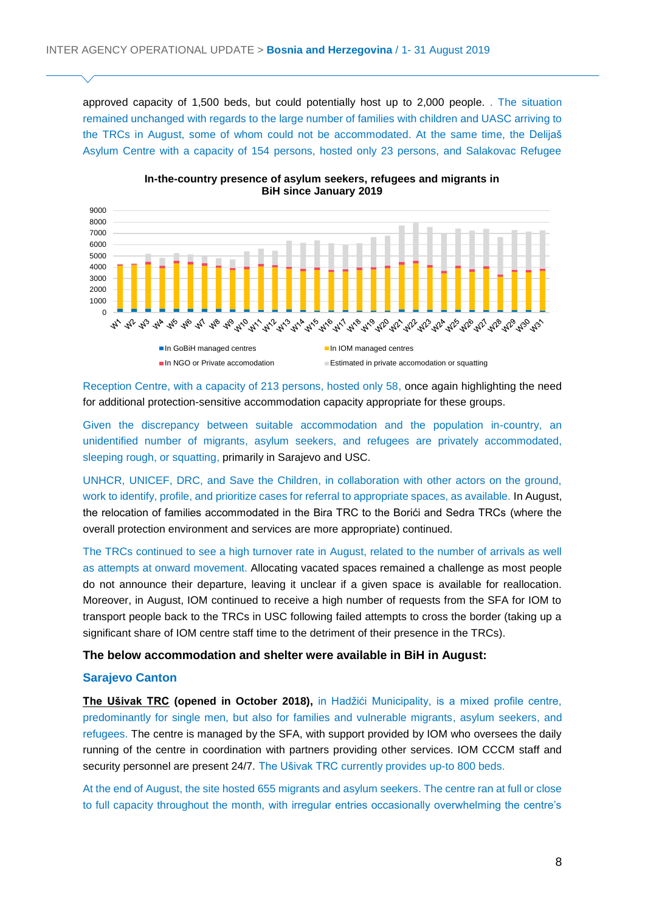approved capacity of 1,500 beds, but could potentially host up to 2,000 people. . The situation remained unchanged with regards to the large number of families with children and UASC arriving to the TRCs in August, some of whom could not be accommodated. At the same time, the Delijaš Asylum Centre with a capacity of 154 persons, hosted only 23 persons, and Salakovac Refugee



**In-the-country presence of asylum seekers, refugees and migrants in BiH since January 2019**

Reception Centre, with a capacity of 213 persons, hosted only 58, once again highlighting the need for additional protection-sensitive accommodation capacity appropriate for these groups.

Given the discrepancy between suitable accommodation and the population in-country, an unidentified number of migrants, asylum seekers, and refugees are privately accommodated, sleeping rough, or squatting, primarily in Sarajevo and USC.

UNHCR, UNICEF, DRC, and Save the Children, in collaboration with other actors on the ground, work to identify, profile, and prioritize cases for referral to appropriate spaces, as available. In August, the relocation of families accommodated in the Bira TRC to the Borići and Sedra TRCs (where the overall protection environment and services are more appropriate) continued.

The TRCs continued to see a high turnover rate in August, related to the number of arrivals as well as attempts at onward movement. Allocating vacated spaces remained a challenge as most people do not announce their departure, leaving it unclear if a given space is available for reallocation. Moreover, in August, IOM continued to receive a high number of requests from the SFA for IOM to transport people back to the TRCs in USC following failed attempts to cross the border (taking up a significant share of IOM centre staff time to the detriment of their presence in the TRCs).

#### **The below accommodation and shelter were available in BiH in August:**

#### **Sarajevo Canton**

**The Ušivak TRC (opened in October 2018),** in Hadžići Municipality, is a mixed profile centre, predominantly for single men, but also for families and vulnerable migrants, asylum seekers, and refugees. The centre is managed by the SFA, with support provided by IOM who oversees the daily running of the centre in coordination with partners providing other services. IOM CCCM staff and security personnel are present 24/7. The Ušivak TRC currently provides up-to 800 beds.

At the end of August, the site hosted 655 migrants and asylum seekers. The centre ran at full or close to full capacity throughout the month, with irregular entries occasionally overwhelming the centre's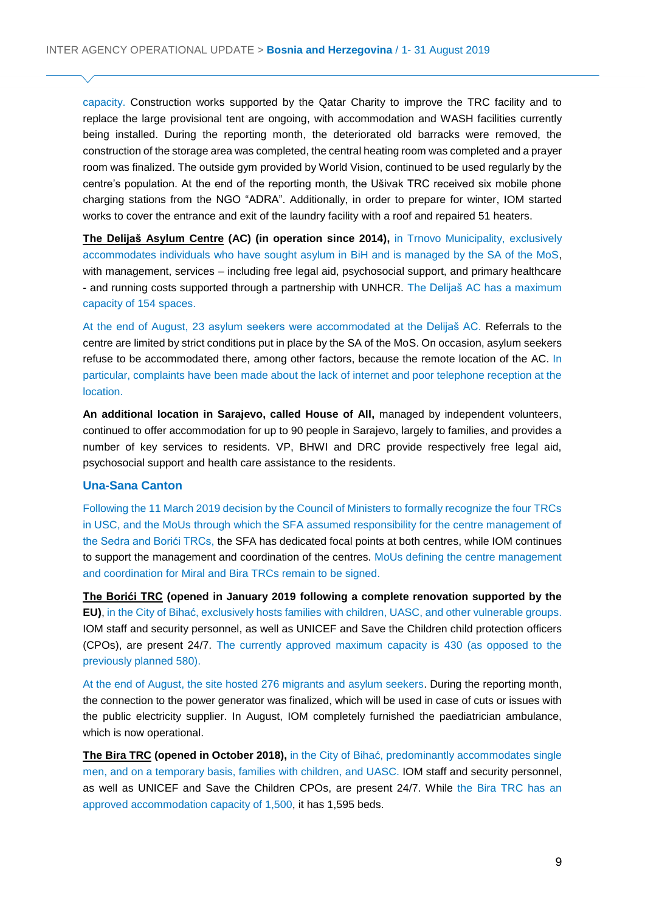capacity. Construction works supported by the Qatar Charity to improve the TRC facility and to replace the large provisional tent are ongoing, with accommodation and WASH facilities currently being installed. During the reporting month, the deteriorated old barracks were removed, the construction of the storage area was completed, the central heating room was completed and a prayer room was finalized. The outside gym provided by World Vision, continued to be used regularly by the centre's population. At the end of the reporting month, the Ušivak TRC received six mobile phone charging stations from the NGO "ADRA". Additionally, in order to prepare for winter, IOM started works to cover the entrance and exit of the laundry facility with a roof and repaired 51 heaters.

**The Delijaš Asylum Centre (AC) (in operation since 2014),** in Trnovo Municipality, exclusively accommodates individuals who have sought asylum in BiH and is managed by the SA of the MoS, with management, services – including free legal aid, psychosocial support, and primary healthcare - and running costs supported through a partnership with UNHCR. The Delijaš AC has a maximum capacity of 154 spaces.

At the end of August, 23 asylum seekers were accommodated at the Delijaš AC. Referrals to the centre are limited by strict conditions put in place by the SA of the MoS. On occasion, asylum seekers refuse to be accommodated there, among other factors, because the remote location of the AC. In particular, complaints have been made about the lack of internet and poor telephone reception at the location.

**An additional location in Sarajevo, called House of All,** managed by independent volunteers, continued to offer accommodation for up to 90 people in Sarajevo, largely to families, and provides a number of key services to residents. VP, BHWI and DRC provide respectively free legal aid, psychosocial support and health care assistance to the residents.

#### **Una-Sana Canton**

Following the 11 March 2019 decision by the Council of Ministers to formally recognize the four TRCs in USC, and the MoUs through which the SFA assumed responsibility for the centre management of the Sedra and Borići TRCs, the SFA has dedicated focal points at both centres, while IOM continues to support the management and coordination of the centres. MoUs defining the centre management and coordination for Miral and Bira TRCs remain to be signed.

**The Borići TRC (opened in January 2019 following a complete renovation supported by the EU)**, in the City of Bihać, exclusively hosts families with children, UASC, and other vulnerable groups. IOM staff and security personnel, as well as UNICEF and Save the Children child protection officers (CPOs), are present 24/7. The currently approved maximum capacity is 430 (as opposed to the previously planned 580).

At the end of August, the site hosted 276 migrants and asylum seekers. During the reporting month, the connection to the power generator was finalized, which will be used in case of cuts or issues with the public electricity supplier. In August, IOM completely furnished the paediatrician ambulance, which is now operational.

**The Bira TRC (opened in October 2018),** in the City of Bihać, predominantly accommodates single men, and on a temporary basis, families with children, and UASC. IOM staff and security personnel, as well as UNICEF and Save the Children CPOs, are present 24/7. While the Bira TRC has an approved accommodation capacity of 1,500, it has 1,595 beds.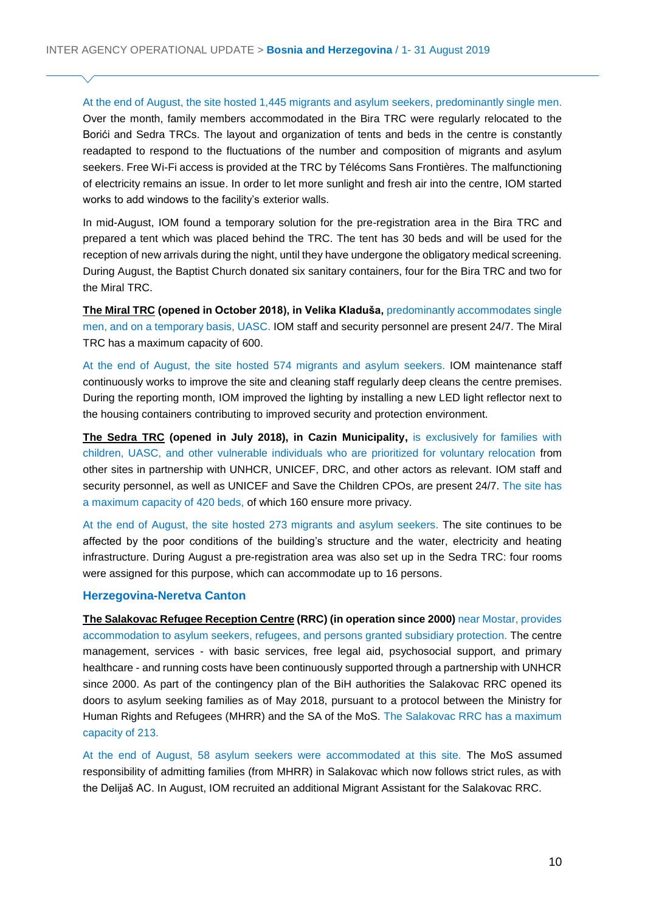At the end of August, the site hosted 1,445 migrants and asylum seekers, predominantly single men. Over the month, family members accommodated in the Bira TRC were regularly relocated to the Borići and Sedra TRCs. The layout and organization of tents and beds in the centre is constantly readapted to respond to the fluctuations of the number and composition of migrants and asylum seekers. Free Wi-Fi access is provided at the TRC by Télécoms Sans Frontières. The malfunctioning of electricity remains an issue. In order to let more sunlight and fresh air into the centre, IOM started works to add windows to the facility's exterior walls.

In mid-August, IOM found a temporary solution for the pre-registration area in the Bira TRC and prepared a tent which was placed behind the TRC. The tent has 30 beds and will be used for the reception of new arrivals during the night, until they have undergone the obligatory medical screening. During August, the Baptist Church donated six sanitary containers, four for the Bira TRC and two for the Miral TRC.

**The Miral TRC (opened in October 2018), in Velika Kladuša,** predominantly accommodates single men, and on a temporary basis, UASC. IOM staff and security personnel are present 24/7. The Miral TRC has a maximum capacity of 600.

At the end of August, the site hosted 574 migrants and asylum seekers. IOM maintenance staff continuously works to improve the site and cleaning staff regularly deep cleans the centre premises. During the reporting month, IOM improved the lighting by installing a new LED light reflector next to the housing containers contributing to improved security and protection environment.

**The Sedra TRC (opened in July 2018), in Cazin Municipality,** is exclusively for families with children, UASC, and other vulnerable individuals who are prioritized for voluntary relocation from other sites in partnership with UNHCR, UNICEF, DRC, and other actors as relevant. IOM staff and security personnel, as well as UNICEF and Save the Children CPOs, are present 24/7. The site has a maximum capacity of 420 beds, of which 160 ensure more privacy.

At the end of August, the site hosted 273 migrants and asylum seekers. The site continues to be affected by the poor conditions of the building's structure and the water, electricity and heating infrastructure. During August a pre-registration area was also set up in the Sedra TRC: four rooms were assigned for this purpose, which can accommodate up to 16 persons.

#### **Herzegovina-Neretva Canton**

**The Salakovac Refugee Reception Centre (RRC) (in operation since 2000)** near Mostar, provides accommodation to asylum seekers, refugees, and persons granted subsidiary protection. The centre management, services - with basic services, free legal aid, psychosocial support, and primary healthcare - and running costs have been continuously supported through a partnership with UNHCR since 2000. As part of the contingency plan of the BiH authorities the Salakovac RRC opened its doors to asylum seeking families as of May 2018, pursuant to a protocol between the Ministry for Human Rights and Refugees (MHRR) and the SA of the MoS. The Salakovac RRC has a maximum capacity of 213.

At the end of August, 58 asylum seekers were accommodated at this site. The MoS assumed responsibility of admitting families (from MHRR) in Salakovac which now follows strict rules, as with the Delijaš AC. In August, IOM recruited an additional Migrant Assistant for the Salakovac RRC.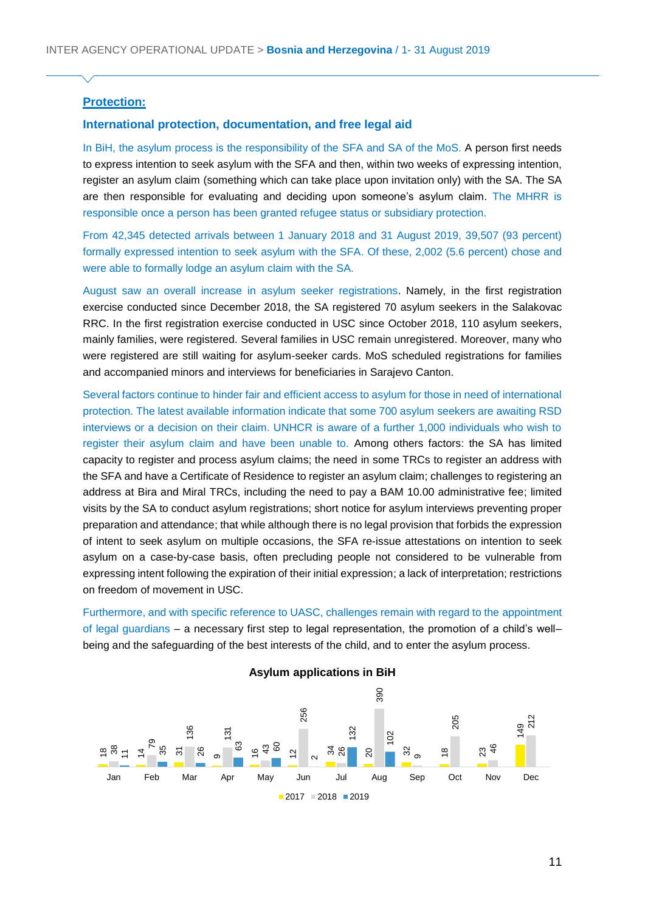### **Protection:**

#### **International protection, documentation, and free legal aid**

In BiH, the asylum process is the responsibility of the SFA and SA of the MoS. A person first needs to express intention to seek asylum with the SFA and then, within two weeks of expressing intention, register an asylum claim (something which can take place upon invitation only) with the SA. The SA are then responsible for evaluating and deciding upon someone's asylum claim. The MHRR is responsible once a person has been granted refugee status or subsidiary protection.

From 42,345 detected arrivals between 1 January 2018 and 31 August 2019, 39,507 (93 percent) formally expressed intention to seek asylum with the SFA. Of these, 2,002 (5.6 percent) chose and were able to formally lodge an asylum claim with the SA.

August saw an overall increase in asylum seeker registrations. Namely, in the first registration exercise conducted since December 2018, the SA registered 70 asylum seekers in the Salakovac RRC. In the first registration exercise conducted in USC since October 2018, 110 asylum seekers, mainly families, were registered. Several families in USC remain unregistered. Moreover, many who were registered are still waiting for asylum-seeker cards. MoS scheduled registrations for families and accompanied minors and interviews for beneficiaries in Sarajevo Canton.

Several factors continue to hinder fair and efficient access to asylum for those in need of international protection. The latest available information indicate that some 700 asylum seekers are awaiting RSD interviews or a decision on their claim. UNHCR is aware of a further 1,000 individuals who wish to register their asylum claim and have been unable to. Among others factors: the SA has limited capacity to register and process asylum claims; the need in some TRCs to register an address with the SFA and have a Certificate of Residence to register an asylum claim; challenges to registering an address at Bira and Miral TRCs, including the need to pay a BAM 10.00 administrative fee; limited visits by the SA to conduct asylum registrations; short notice for asylum interviews preventing proper preparation and attendance; that while although there is no legal provision that forbids the expression of intent to seek asylum on multiple occasions, the SFA re-issue attestations on intention to seek asylum on a case-by-case basis, often precluding people not considered to be vulnerable from expressing intent following the expiration of their initial expression; a lack of interpretation; restrictions on freedom of movement in USC.

Furthermore, and with specific reference to UASC, challenges remain with regard to the appointment of legal guardians – a necessary first step to legal representation, the promotion of a child's well– being and the safeguarding of the best interests of the child, and to enter the asylum process.

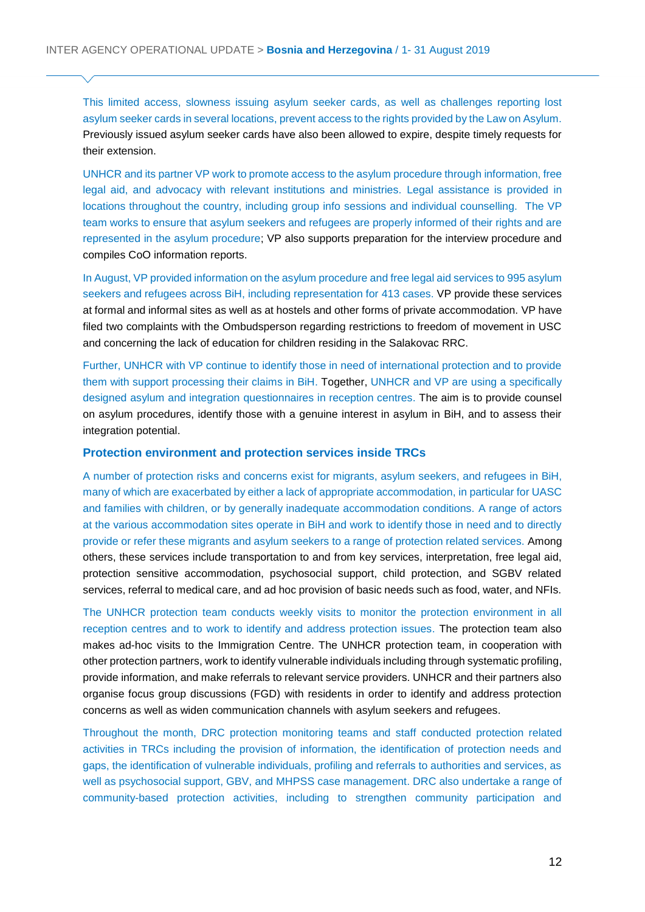This limited access, slowness issuing asylum seeker cards, as well as challenges reporting lost asylum seeker cards in several locations, prevent access to the rights provided by the Law on Asylum. Previously issued asylum seeker cards have also been allowed to expire, despite timely requests for their extension.

UNHCR and its partner VP work to promote access to the asylum procedure through information, free legal aid, and advocacy with relevant institutions and ministries. Legal assistance is provided in locations throughout the country, including group info sessions and individual counselling. The VP team works to ensure that asylum seekers and refugees are properly informed of their rights and are represented in the asylum procedure; VP also supports preparation for the interview procedure and compiles CoO information reports.

In August, VP provided information on the asylum procedure and free legal aid services to 995 asylum seekers and refugees across BiH, including representation for 413 cases. VP provide these services at formal and informal sites as well as at hostels and other forms of private accommodation. VP have filed two complaints with the Ombudsperson regarding restrictions to freedom of movement in USC and concerning the lack of education for children residing in the Salakovac RRC.

Further, UNHCR with VP continue to identify those in need of international protection and to provide them with support processing their claims in BiH. Together, UNHCR and VP are using a specifically designed asylum and integration questionnaires in reception centres. The aim is to provide counsel on asylum procedures, identify those with a genuine interest in asylum in BiH, and to assess their integration potential.

#### **Protection environment and protection services inside TRCs**

A number of protection risks and concerns exist for migrants, asylum seekers, and refugees in BiH, many of which are exacerbated by either a lack of appropriate accommodation, in particular for UASC and families with children, or by generally inadequate accommodation conditions. A range of actors at the various accommodation sites operate in BiH and work to identify those in need and to directly provide or refer these migrants and asylum seekers to a range of protection related services. Among others, these services include transportation to and from key services, interpretation, free legal aid, protection sensitive accommodation, psychosocial support, child protection, and SGBV related services, referral to medical care, and ad hoc provision of basic needs such as food, water, and NFIs.

The UNHCR protection team conducts weekly visits to monitor the protection environment in all reception centres and to work to identify and address protection issues. The protection team also makes ad-hoc visits to the Immigration Centre. The UNHCR protection team, in cooperation with other protection partners, work to identify vulnerable individuals including through systematic profiling, provide information, and make referrals to relevant service providers. UNHCR and their partners also organise focus group discussions (FGD) with residents in order to identify and address protection concerns as well as widen communication channels with asylum seekers and refugees.

Throughout the month, DRC protection monitoring teams and staff conducted protection related activities in TRCs including the provision of information, the identification of protection needs and gaps, the identification of vulnerable individuals, profiling and referrals to authorities and services, as well as psychosocial support, GBV, and MHPSS case management. DRC also undertake a range of community-based protection activities, including to strengthen community participation and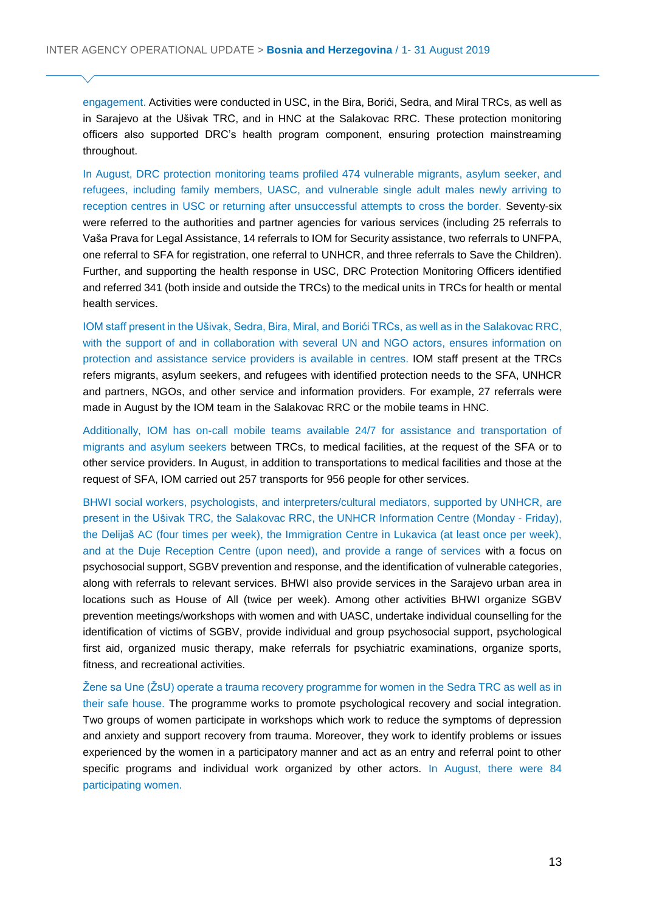engagement. Activities were conducted in USC, in the Bira, Borići, Sedra, and Miral TRCs, as well as in Sarajevo at the Ušivak TRC, and in HNC at the Salakovac RRC. These protection monitoring officers also supported DRC's health program component, ensuring protection mainstreaming throughout.

In August, DRC protection monitoring teams profiled 474 vulnerable migrants, asylum seeker, and refugees, including family members, UASC, and vulnerable single adult males newly arriving to reception centres in USC or returning after unsuccessful attempts to cross the border. Seventy-six were referred to the authorities and partner agencies for various services (including 25 referrals to Vaša Prava for Legal Assistance, 14 referrals to IOM for Security assistance, two referrals to UNFPA, one referral to SFA for registration, one referral to UNHCR, and three referrals to Save the Children). Further, and supporting the health response in USC, DRC Protection Monitoring Officers identified and referred 341 (both inside and outside the TRCs) to the medical units in TRCs for health or mental health services.

IOM staff present in the Ušivak, Sedra, Bira, Miral, and Borići TRCs, as well as in the Salakovac RRC, with the support of and in collaboration with several UN and NGO actors, ensures information on protection and assistance service providers is available in centres. IOM staff present at the TRCs refers migrants, asylum seekers, and refugees with identified protection needs to the SFA, UNHCR and partners, NGOs, and other service and information providers. For example, 27 referrals were made in August by the IOM team in the Salakovac RRC or the mobile teams in HNC.

Additionally, IOM has on-call mobile teams available 24/7 for assistance and transportation of migrants and asylum seekers between TRCs, to medical facilities, at the request of the SFA or to other service providers. In August, in addition to transportations to medical facilities and those at the request of SFA, IOM carried out 257 transports for 956 people for other services.

BHWI social workers, psychologists, and interpreters/cultural mediators, supported by UNHCR, are present in the Ušivak TRC, the Salakovac RRC, the UNHCR Information Centre (Monday - Friday), the Delijaš AC (four times per week), the Immigration Centre in Lukavica (at least once per week), and at the Duje Reception Centre (upon need), and provide a range of services with a focus on psychosocial support, SGBV prevention and response, and the identification of vulnerable categories, along with referrals to relevant services. BHWI also provide services in the Sarajevo urban area in locations such as House of All (twice per week). Among other activities BHWI organize SGBV prevention meetings/workshops with women and with UASC, undertake individual counselling for the identification of victims of SGBV, provide individual and group psychosocial support, psychological first aid, organized music therapy, make referrals for psychiatric examinations, organize sports, fitness, and recreational activities.

Žene sa Une (ŽsU) operate a trauma recovery programme for women in the Sedra TRC as well as in their safe house. The programme works to promote psychological recovery and social integration. Two groups of women participate in workshops which work to reduce the symptoms of depression and anxiety and support recovery from trauma. Moreover, they work to identify problems or issues experienced by the women in a participatory manner and act as an entry and referral point to other specific programs and individual work organized by other actors. In August, there were 84 participating women.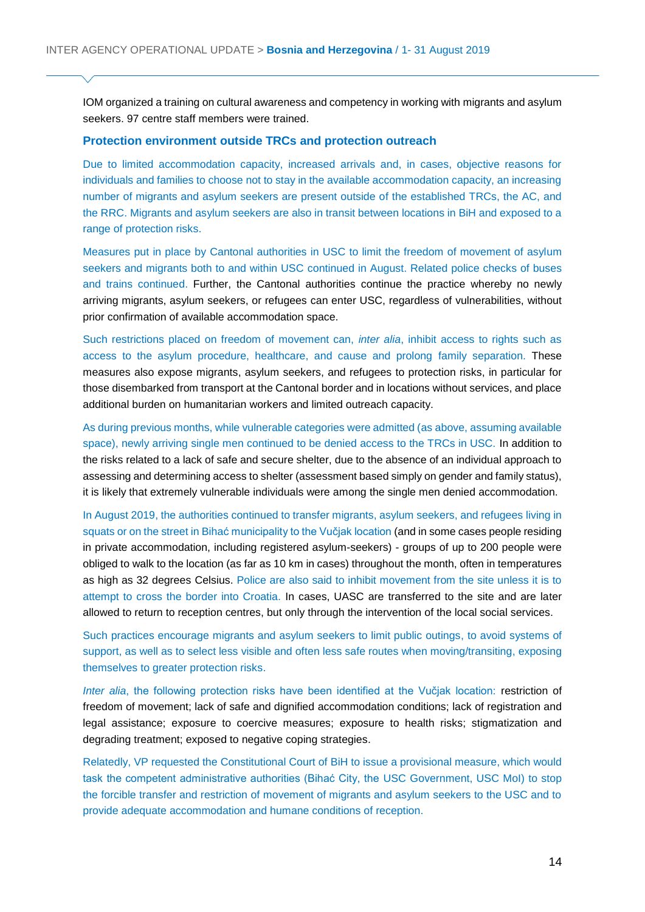IOM organized a training on cultural awareness and competency in working with migrants and asylum seekers. 97 centre staff members were trained.

#### **Protection environment outside TRCs and protection outreach**

Due to limited accommodation capacity, increased arrivals and, in cases, objective reasons for individuals and families to choose not to stay in the available accommodation capacity, an increasing number of migrants and asylum seekers are present outside of the established TRCs, the AC, and the RRC. Migrants and asylum seekers are also in transit between locations in BiH and exposed to a range of protection risks.

Measures put in place by Cantonal authorities in USC to limit the freedom of movement of asylum seekers and migrants both to and within USC continued in August. Related police checks of buses and trains continued. Further, the Cantonal authorities continue the practice whereby no newly arriving migrants, asylum seekers, or refugees can enter USC, regardless of vulnerabilities, without prior confirmation of available accommodation space.

Such restrictions placed on freedom of movement can, *inter alia*, inhibit access to rights such as access to the asylum procedure, healthcare, and cause and prolong family separation. These measures also expose migrants, asylum seekers, and refugees to protection risks, in particular for those disembarked from transport at the Cantonal border and in locations without services, and place additional burden on humanitarian workers and limited outreach capacity.

As during previous months, while vulnerable categories were admitted (as above, assuming available space), newly arriving single men continued to be denied access to the TRCs in USC. In addition to the risks related to a lack of safe and secure shelter, due to the absence of an individual approach to assessing and determining access to shelter (assessment based simply on gender and family status), it is likely that extremely vulnerable individuals were among the single men denied accommodation.

In August 2019, the authorities continued to transfer migrants, asylum seekers, and refugees living in squats or on the street in Bihać municipality to the Vučjak location (and in some cases people residing in private accommodation, including registered asylum-seekers) - groups of up to 200 people were obliged to walk to the location (as far as 10 km in cases) throughout the month, often in temperatures as high as 32 degrees Celsius. Police are also said to inhibit movement from the site unless it is to attempt to cross the border into Croatia. In cases, UASC are transferred to the site and are later allowed to return to reception centres, but only through the intervention of the local social services.

Such practices encourage migrants and asylum seekers to limit public outings, to avoid systems of support, as well as to select less visible and often less safe routes when moving/transiting, exposing themselves to greater protection risks.

*Inter alia*, the following protection risks have been identified at the Vučjak location: restriction of freedom of movement; lack of safe and dignified accommodation conditions; lack of registration and legal assistance; exposure to coercive measures; exposure to health risks; stigmatization and degrading treatment; exposed to negative coping strategies.

Relatedly, VP requested the Constitutional Court of BiH to issue a provisional measure, which would task the competent administrative authorities (Bihać City, the USC Government, USC MoI) to stop the forcible transfer and restriction of movement of migrants and asylum seekers to the USC and to provide adequate accommodation and humane conditions of reception.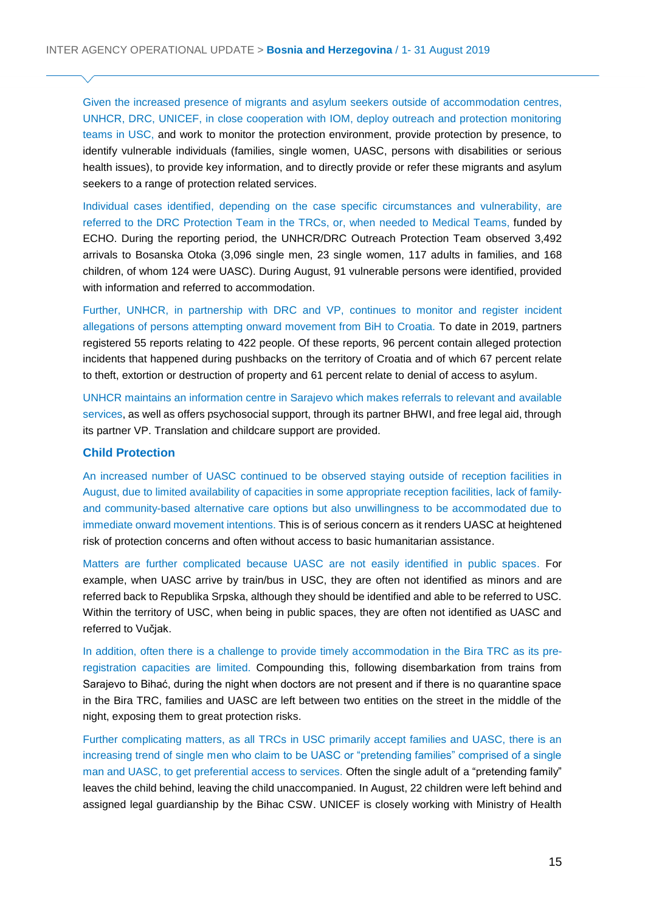Given the increased presence of migrants and asylum seekers outside of accommodation centres, UNHCR, DRC, UNICEF, in close cooperation with IOM, deploy outreach and protection monitoring teams in USC, and work to monitor the protection environment, provide protection by presence, to identify vulnerable individuals (families, single women, UASC, persons with disabilities or serious health issues), to provide key information, and to directly provide or refer these migrants and asylum seekers to a range of protection related services.

Individual cases identified, depending on the case specific circumstances and vulnerability, are referred to the DRC Protection Team in the TRCs, or, when needed to Medical Teams, funded by ECHO. During the reporting period, the UNHCR/DRC Outreach Protection Team observed 3,492 arrivals to Bosanska Otoka (3,096 single men, 23 single women, 117 adults in families, and 168 children, of whom 124 were UASC). During August, 91 vulnerable persons were identified, provided with information and referred to accommodation.

Further, UNHCR, in partnership with DRC and VP, continues to monitor and register incident allegations of persons attempting onward movement from BiH to Croatia. To date in 2019, partners registered 55 reports relating to 422 people. Of these reports, 96 percent contain alleged protection incidents that happened during pushbacks on the territory of Croatia and of which 67 percent relate to theft, extortion or destruction of property and 61 percent relate to denial of access to asylum.

UNHCR maintains an information centre in Sarajevo which makes referrals to relevant and available services, as well as offers psychosocial support, through its partner BHWI, and free legal aid, through its partner VP. Translation and childcare support are provided.

#### **Child Protection**

An increased number of UASC continued to be observed staying outside of reception facilities in August, due to limited availability of capacities in some appropriate reception facilities, lack of familyand community-based alternative care options but also unwillingness to be accommodated due to immediate onward movement intentions. This is of serious concern as it renders UASC at heightened risk of protection concerns and often without access to basic humanitarian assistance.

Matters are further complicated because UASC are not easily identified in public spaces. For example, when UASC arrive by train/bus in USC, they are often not identified as minors and are referred back to Republika Srpska, although they should be identified and able to be referred to USC. Within the territory of USC, when being in public spaces, they are often not identified as UASC and referred to Vučjak.

In addition, often there is a challenge to provide timely accommodation in the Bira TRC as its preregistration capacities are limited. Compounding this, following disembarkation from trains from Sarajevo to Bihać, during the night when doctors are not present and if there is no quarantine space in the Bira TRC, families and UASC are left between two entities on the street in the middle of the night, exposing them to great protection risks.

Further complicating matters, as all TRCs in USC primarily accept families and UASC, there is an increasing trend of single men who claim to be UASC or "pretending families" comprised of a single man and UASC, to get preferential access to services. Often the single adult of a "pretending family" leaves the child behind, leaving the child unaccompanied. In August, 22 children were left behind and assigned legal guardianship by the Bihac CSW. UNICEF is closely working with Ministry of Health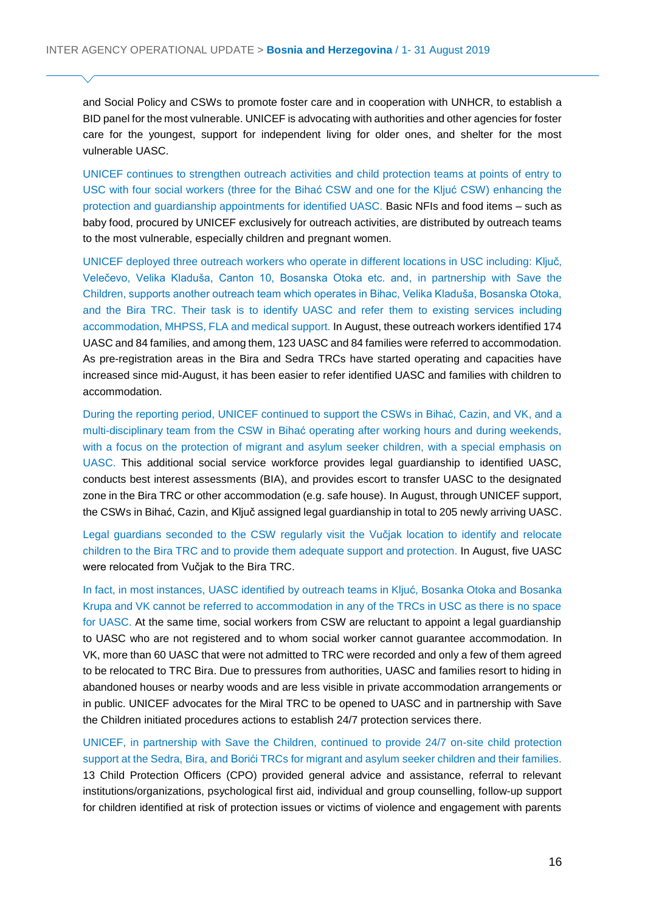and Social Policy and CSWs to promote foster care and in cooperation with UNHCR, to establish a BID panel for the most vulnerable. UNICEF is advocating with authorities and other agencies for foster care for the youngest, support for independent living for older ones, and shelter for the most vulnerable UASC.

UNICEF continues to strengthen outreach activities and child protection teams at points of entry to USC with four social workers (three for the Bihać CSW and one for the Kljuć CSW) enhancing the protection and guardianship appointments for identified UASC. Basic NFIs and food items – such as baby food, procured by UNICEF exclusively for outreach activities, are distributed by outreach teams to the most vulnerable, especially children and pregnant women.

UNICEF deployed three outreach workers who operate in different locations in USC including: Ključ, Velečevo, Velika Kladuša, Canton 10, Bosanska Otoka etc. and, in partnership with Save the Children, supports another outreach team which operates in Bihac, Velika Kladuša, Bosanska Otoka, and the Bira TRC. Their task is to identify UASC and refer them to existing services including accommodation, MHPSS, FLA and medical support. In August, these outreach workers identified 174 UASC and 84 families, and among them, 123 UASC and 84 families were referred to accommodation. As pre-registration areas in the Bira and Sedra TRCs have started operating and capacities have increased since mid-August, it has been easier to refer identified UASC and families with children to accommodation.

During the reporting period, UNICEF continued to support the CSWs in Bihać, Cazin, and VK, and a multi-disciplinary team from the CSW in Bihać operating after working hours and during weekends, with a focus on the protection of migrant and asylum seeker children, with a special emphasis on UASC. This additional social service workforce provides legal guardianship to identified UASC, conducts best interest assessments (BIA), and provides escort to transfer UASC to the designated zone in the Bira TRC or other accommodation (e.g. safe house). In August, through UNICEF support, the CSWs in Bihać, Cazin, and Ključ assigned legal guardianship in total to 205 newly arriving UASC.

Legal guardians seconded to the CSW regularly visit the Vučjak location to identify and relocate children to the Bira TRC and to provide them adequate support and protection. In August, five UASC were relocated from Vučjak to the Bira TRC.

In fact, in most instances, UASC identified by outreach teams in Kljuć, Bosanka Otoka and Bosanka Krupa and VK cannot be referred to accommodation in any of the TRCs in USC as there is no space for UASC. At the same time, social workers from CSW are reluctant to appoint a legal guardianship to UASC who are not registered and to whom social worker cannot guarantee accommodation. In VK, more than 60 UASC that were not admitted to TRC were recorded and only a few of them agreed to be relocated to TRC Bira. Due to pressures from authorities, UASC and families resort to hiding in abandoned houses or nearby woods and are less visible in private accommodation arrangements or in public. UNICEF advocates for the Miral TRC to be opened to UASC and in partnership with Save the Children initiated procedures actions to establish 24/7 protection services there.

UNICEF, in partnership with Save the Children, continued to provide 24/7 on-site child protection support at the Sedra, Bira, and Borići TRCs for migrant and asylum seeker children and their families. 13 Child Protection Officers (CPO) provided general advice and assistance, referral to relevant institutions/organizations, psychological first aid, individual and group counselling, follow-up support for children identified at risk of protection issues or victims of violence and engagement with parents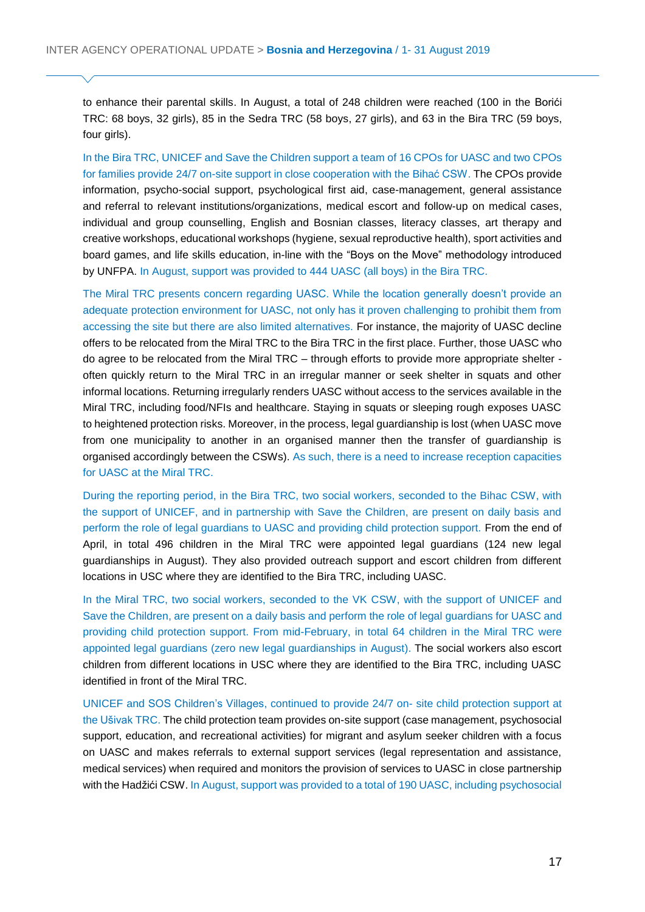to enhance their parental skills. In August, a total of 248 children were reached (100 in the Borići TRC: 68 boys, 32 girls), 85 in the Sedra TRC (58 boys, 27 girls), and 63 in the Bira TRC (59 boys, four girls).

In the Bira TRC, UNICEF and Save the Children support a team of 16 CPOs for UASC and two CPOs for families provide 24/7 on-site support in close cooperation with the Bihać CSW. The CPOs provide information, psycho-social support, psychological first aid, case-management, general assistance and referral to relevant institutions/organizations, medical escort and follow-up on medical cases, individual and group counselling, English and Bosnian classes, literacy classes, art therapy and creative workshops, educational workshops (hygiene, sexual reproductive health), sport activities and board games, and life skills education, in-line with the "Boys on the Move" methodology introduced by UNFPA. In August, support was provided to 444 UASC (all boys) in the Bira TRC.

The Miral TRC presents concern regarding UASC. While the location generally doesn't provide an adequate protection environment for UASC, not only has it proven challenging to prohibit them from accessing the site but there are also limited alternatives. For instance, the majority of UASC decline offers to be relocated from the Miral TRC to the Bira TRC in the first place. Further, those UASC who do agree to be relocated from the Miral TRC – through efforts to provide more appropriate shelter often quickly return to the Miral TRC in an irregular manner or seek shelter in squats and other informal locations. Returning irregularly renders UASC without access to the services available in the Miral TRC, including food/NFIs and healthcare. Staying in squats or sleeping rough exposes UASC to heightened protection risks. Moreover, in the process, legal guardianship is lost (when UASC move from one municipality to another in an organised manner then the transfer of guardianship is organised accordingly between the CSWs). As such, there is a need to increase reception capacities for UASC at the Miral TRC.

During the reporting period, in the Bira TRC, two social workers, seconded to the Bihac CSW, with the support of UNICEF, and in partnership with Save the Children, are present on daily basis and perform the role of legal guardians to UASC and providing child protection support. From the end of April, in total 496 children in the Miral TRC were appointed legal guardians (124 new legal guardianships in August). They also provided outreach support and escort children from different locations in USC where they are identified to the Bira TRC, including UASC.

In the Miral TRC, two social workers, seconded to the VK CSW, with the support of UNICEF and Save the Children, are present on a daily basis and perform the role of legal guardians for UASC and providing child protection support. From mid-February, in total 64 children in the Miral TRC were appointed legal guardians (zero new legal guardianships in August). The social workers also escort children from different locations in USC where they are identified to the Bira TRC, including UASC identified in front of the Miral TRC.

UNICEF and SOS Children's Villages, continued to provide 24/7 on- site child protection support at the Ušivak TRC. The child protection team provides on-site support (case management, psychosocial support, education, and recreational activities) for migrant and asylum seeker children with a focus on UASC and makes referrals to external support services (legal representation and assistance, medical services) when required and monitors the provision of services to UASC in close partnership with the Hadžići CSW. In August, support was provided to a total of 190 UASC, including psychosocial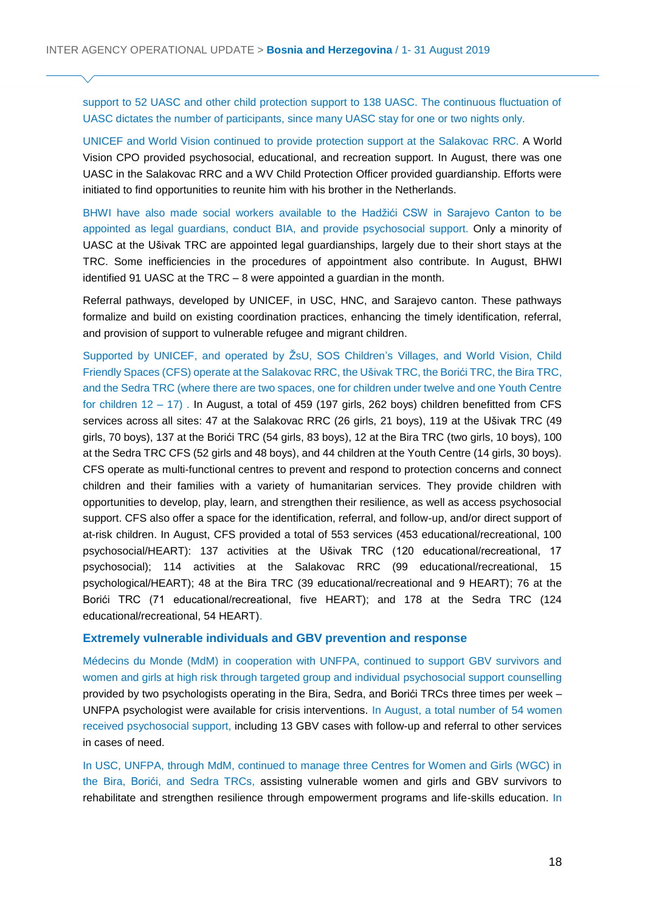support to 52 UASC and other child protection support to 138 UASC. The continuous fluctuation of UASC dictates the number of participants, since many UASC stay for one or two nights only.

UNICEF and World Vision continued to provide protection support at the Salakovac RRC. A World Vision CPO provided psychosocial, educational, and recreation support. In August, there was one UASC in the Salakovac RRC and a WV Child Protection Officer provided guardianship. Efforts were initiated to find opportunities to reunite him with his brother in the Netherlands.

BHWI have also made social workers available to the Hadžići CSW in Sarajevo Canton to be appointed as legal guardians, conduct BIA, and provide psychosocial support. Only a minority of UASC at the Ušivak TRC are appointed legal guardianships, largely due to their short stays at the TRC. Some inefficiencies in the procedures of appointment also contribute. In August, BHWI identified 91 UASC at the TRC – 8 were appointed a guardian in the month.

Referral pathways, developed by UNICEF, in USC, HNC, and Sarajevo canton. These pathways formalize and build on existing coordination practices, enhancing the timely identification, referral, and provision of support to vulnerable refugee and migrant children.

Supported by UNICEF, and operated by ŽsU, SOS Children's Villages, and World Vision, Child Friendly Spaces (CFS) operate at the Salakovac RRC, the Ušivak TRC, the Borići TRC, the Bira TRC, and the Sedra TRC (where there are two spaces, one for children under twelve and one Youth Centre for children 12 – 17) . In August, a total of 459 (197 girls, 262 boys) children benefitted from CFS services across all sites: 47 at the Salakovac RRC (26 girls, 21 boys), 119 at the Ušivak TRC (49 girls, 70 boys), 137 at the Borići TRC (54 girls, 83 boys), 12 at the Bira TRC (two girls, 10 boys), 100 at the Sedra TRC CFS (52 girls and 48 boys), and 44 children at the Youth Centre (14 girls, 30 boys). CFS operate as multi-functional centres to prevent and respond to protection concerns and connect children and their families with a variety of humanitarian services. They provide children with opportunities to develop, play, learn, and strengthen their resilience, as well as access psychosocial support. CFS also offer a space for the identification, referral, and follow-up, and/or direct support of at-risk children. In August, CFS provided a total of 553 services (453 educational/recreational, 100 psychosocial/HEART): 137 activities at the Ušivak TRC (120 educational/recreational, 17 psychosocial); 114 activities at the Salakovac RRC (99 educational/recreational, 15 psychological/HEART); 48 at the Bira TRC (39 educational/recreational and 9 HEART); 76 at the Borići TRC (71 educational/recreational, five HEART); and 178 at the Sedra TRC (124 educational/recreational, 54 HEART).

#### **Extremely vulnerable individuals and GBV prevention and response**

Médecins du Monde (MdM) in cooperation with UNFPA, continued to support GBV survivors and women and girls at high risk through targeted group and individual psychosocial support counselling provided by two psychologists operating in the Bira, Sedra, and Borići TRCs three times per week – UNFPA psychologist were available for crisis interventions. In August, a total number of 54 women received psychosocial support, including 13 GBV cases with follow-up and referral to other services in cases of need.

In USC, UNFPA, through MdM, continued to manage three Centres for Women and Girls (WGC) in the Bira, Borići, and Sedra TRCs, assisting vulnerable women and girls and GBV survivors to rehabilitate and strengthen resilience through empowerment programs and life-skills education. In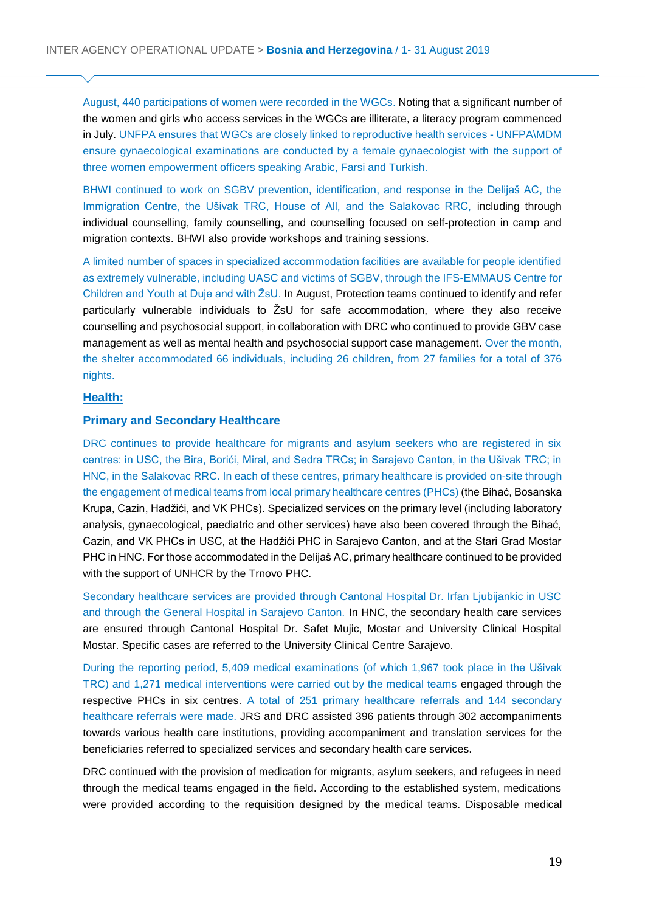August, 440 participations of women were recorded in the WGCs. Noting that a significant number of the women and girls who access services in the WGCs are illiterate, a literacy program commenced in July. UNFPA ensures that WGCs are closely linked to reproductive health services - UNFPA\MDM ensure gynaecological examinations are conducted by a female gynaecologist with the support of three women empowerment officers speaking Arabic, Farsi and Turkish.

BHWI continued to work on SGBV prevention, identification, and response in the Delijaš AC, the Immigration Centre, the Ušivak TRC, House of All, and the Salakovac RRC, including through individual counselling, family counselling, and counselling focused on self-protection in camp and migration contexts. BHWI also provide workshops and training sessions.

A limited number of spaces in specialized accommodation facilities are available for people identified as extremely vulnerable, including UASC and victims of SGBV, through the IFS-EMMAUS Centre for Children and Youth at Duje and with ŽsU. In August, Protection teams continued to identify and refer particularly vulnerable individuals to ŽsU for safe accommodation, where they also receive counselling and psychosocial support, in collaboration with DRC who continued to provide GBV case management as well as mental health and psychosocial support case management. Over the month, the shelter accommodated 66 individuals, including 26 children, from 27 families for a total of 376 nights.

# **Health:**

# **Primary and Secondary Healthcare**

DRC continues to provide healthcare for migrants and asylum seekers who are registered in six centres: in USC, the Bira, Borići, Miral, and Sedra TRCs; in Sarajevo Canton, in the Ušivak TRC; in HNC, in the Salakovac RRC. In each of these centres, primary healthcare is provided on-site through the engagement of medical teams from local primary healthcare centres (PHCs) (the Bihać, Bosanska Krupa, Cazin, Hadžići, and VK PHCs). Specialized services on the primary level (including laboratory analysis, gynaecological, paediatric and other services) have also been covered through the Bihać, Cazin, and VK PHCs in USC, at the Hadžići PHC in Sarajevo Canton, and at the Stari Grad Mostar PHC in HNC. For those accommodated in the Delijaš AC, primary healthcare continued to be provided with the support of UNHCR by the Trnovo PHC.

Secondary healthcare services are provided through Cantonal Hospital Dr. Irfan Ljubijankic in USC and through the General Hospital in Sarajevo Canton. In HNC, the secondary health care services are ensured through Cantonal Hospital Dr. Safet Mujic, Mostar and University Clinical Hospital Mostar. Specific cases are referred to the University Clinical Centre Sarajevo.

During the reporting period, 5,409 medical examinations (of which 1,967 took place in the Ušivak TRC) and 1,271 medical interventions were carried out by the medical teams engaged through the respective PHCs in six centres. A total of 251 primary healthcare referrals and 144 secondary healthcare referrals were made. JRS and DRC assisted 396 patients through 302 accompaniments towards various health care institutions, providing accompaniment and translation services for the beneficiaries referred to specialized services and secondary health care services.

DRC continued with the provision of medication for migrants, asylum seekers, and refugees in need through the medical teams engaged in the field. According to the established system, medications were provided according to the requisition designed by the medical teams. Disposable medical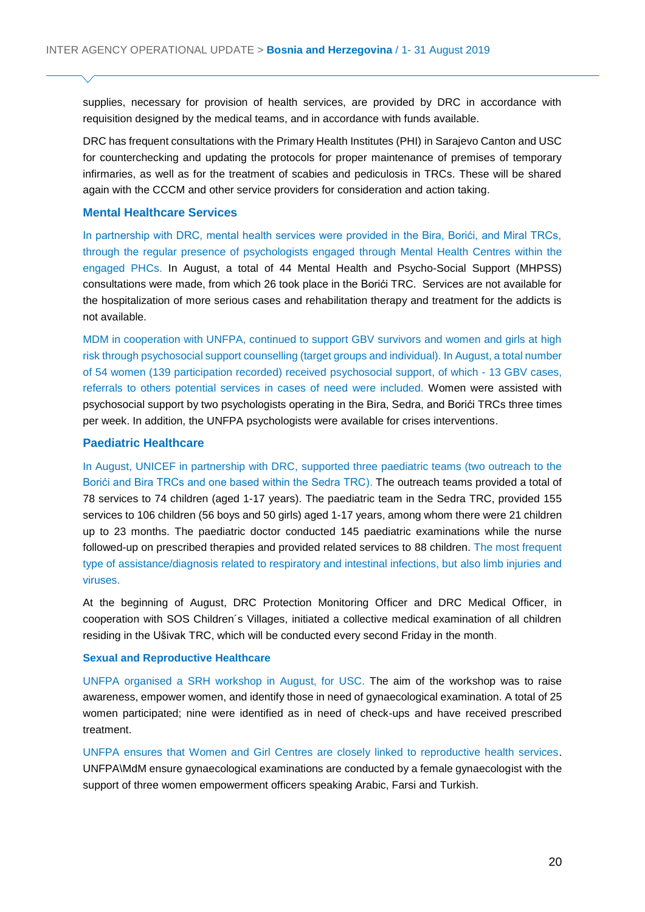supplies, necessary for provision of health services, are provided by DRC in accordance with requisition designed by the medical teams, and in accordance with funds available.

DRC has frequent consultations with the Primary Health Institutes (PHI) in Sarajevo Canton and USC for counterchecking and updating the protocols for proper maintenance of premises of temporary infirmaries, as well as for the treatment of scabies and pediculosis in TRCs. These will be shared again with the CCCM and other service providers for consideration and action taking.

#### **Mental Healthcare Services**

In partnership with DRC, mental health services were provided in the Bira, Borići, and Miral TRCs, through the regular presence of psychologists engaged through Mental Health Centres within the engaged PHCs. In August, a total of 44 Mental Health and Psycho-Social Support (MHPSS) consultations were made, from which 26 took place in the Borići TRC. Services are not available for the hospitalization of more serious cases and rehabilitation therapy and treatment for the addicts is not available.

MDM in cooperation with UNFPA, continued to support GBV survivors and women and girls at high risk through psychosocial support counselling (target groups and individual). In August, a total number of 54 women (139 participation recorded) received psychosocial support, of which - 13 GBV cases, referrals to others potential services in cases of need were included. Women were assisted with psychosocial support by two psychologists operating in the Bira, Sedra, and Borići TRCs three times per week. In addition, the UNFPA psychologists were available for crises interventions.

#### **Paediatric Healthcare**

In August, UNICEF in partnership with DRC, supported three paediatric teams (two outreach to the Borići and Bira TRCs and one based within the Sedra TRC). The outreach teams provided a total of 78 services to 74 children (aged 1-17 years). The paediatric team in the Sedra TRC, provided 155 services to 106 children (56 boys and 50 girls) aged 1-17 years, among whom there were 21 children up to 23 months. The paediatric doctor conducted 145 paediatric examinations while the nurse followed-up on prescribed therapies and provided related services to 88 children. The most frequent type of assistance/diagnosis related to respiratory and intestinal infections, but also limb injuries and viruses.

At the beginning of August, DRC Protection Monitoring Officer and DRC Medical Officer, in cooperation with SOS Children´s Villages, initiated a collective medical examination of all children residing in the Ušivak TRC, which will be conducted every second Friday in the month.

#### **Sexual and Reproductive Healthcare**

UNFPA organised a SRH workshop in August, for USC. The aim of the workshop was to raise awareness, empower women, and identify those in need of gynaecological examination. A total of 25 women participated; nine were identified as in need of check-ups and have received prescribed treatment.

UNFPA ensures that Women and Girl Centres are closely linked to reproductive health services. UNFPA\MdM ensure gynaecological examinations are conducted by a female gynaecologist with the support of three women empowerment officers speaking Arabic, Farsi and Turkish.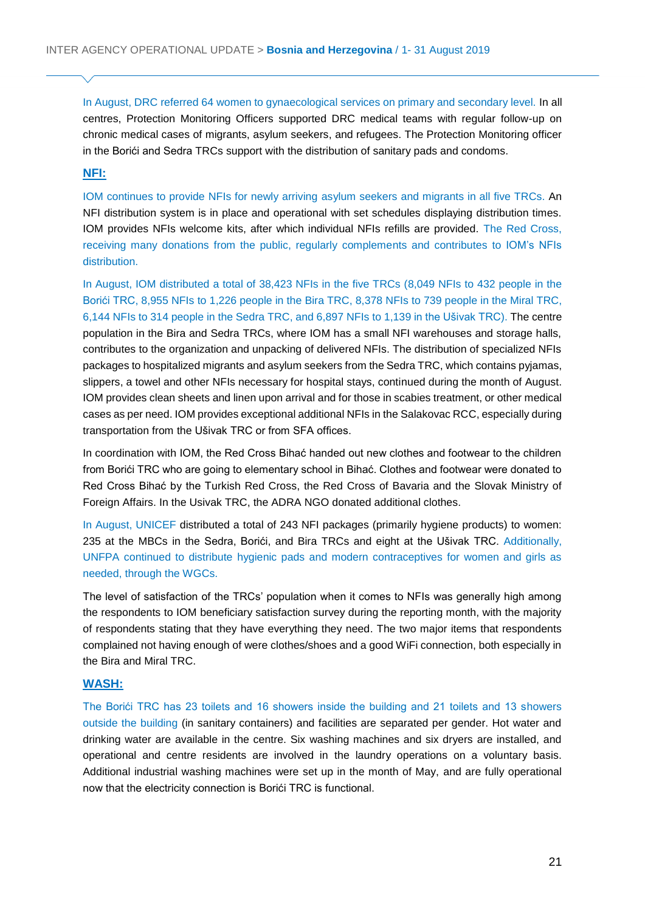In August, DRC referred 64 women to gynaecological services on primary and secondary level. In all centres, Protection Monitoring Officers supported DRC medical teams with regular follow-up on chronic medical cases of migrants, asylum seekers, and refugees. The Protection Monitoring officer in the Borići and Sedra TRCs support with the distribution of sanitary pads and condoms.

# **NFI:**

IOM continues to provide NFIs for newly arriving asylum seekers and migrants in all five TRCs. An NFI distribution system is in place and operational with set schedules displaying distribution times. IOM provides NFIs welcome kits, after which individual NFIs refills are provided. The Red Cross, receiving many donations from the public, regularly complements and contributes to IOM's NFIs distribution.

In August, IOM distributed a total of 38,423 NFIs in the five TRCs (8,049 NFIs to 432 people in the Borići TRC, 8,955 NFIs to 1,226 people in the Bira TRC, 8,378 NFIs to 739 people in the Miral TRC, 6,144 NFIs to 314 people in the Sedra TRC, and 6,897 NFIs to 1,139 in the Ušivak TRC). The centre population in the Bira and Sedra TRCs, where IOM has a small NFI warehouses and storage halls, contributes to the organization and unpacking of delivered NFIs. The distribution of specialized NFIs packages to hospitalized migrants and asylum seekers from the Sedra TRC, which contains pyjamas, slippers, a towel and other NFIs necessary for hospital stays, continued during the month of August. IOM provides clean sheets and linen upon arrival and for those in scabies treatment, or other medical cases as per need. IOM provides exceptional additional NFIs in the Salakovac RCC, especially during transportation from the Ušivak TRC or from SFA offices.

In coordination with IOM, the Red Cross Bihać handed out new clothes and footwear to the children from Borići TRC who are going to elementary school in Bihać. Clothes and footwear were donated to Red Cross Bihać by the Turkish Red Cross, the Red Cross of Bavaria and the Slovak Ministry of Foreign Affairs. In the Usivak TRC, the ADRA NGO donated additional clothes.

In August, UNICEF distributed a total of 243 NFI packages (primarily hygiene products) to women: 235 at the MBCs in the Sedra, Borići, and Bira TRCs and eight at the Ušivak TRC. Additionally, UNFPA continued to distribute hygienic pads and modern contraceptives for women and girls as needed, through the WGCs.

The level of satisfaction of the TRCs' population when it comes to NFIs was generally high among the respondents to IOM beneficiary satisfaction survey during the reporting month, with the majority of respondents stating that they have everything they need. The two major items that respondents complained not having enough of were clothes/shoes and a good WiFi connection, both especially in the Bira and Miral TRC.

### **WASH:**

The Borići TRC has 23 toilets and 16 showers inside the building and 21 toilets and 13 showers outside the building (in sanitary containers) and facilities are separated per gender. Hot water and drinking water are available in the centre. Six washing machines and six dryers are installed, and operational and centre residents are involved in the laundry operations on a voluntary basis. Additional industrial washing machines were set up in the month of May, and are fully operational now that the electricity connection is Borići TRC is functional.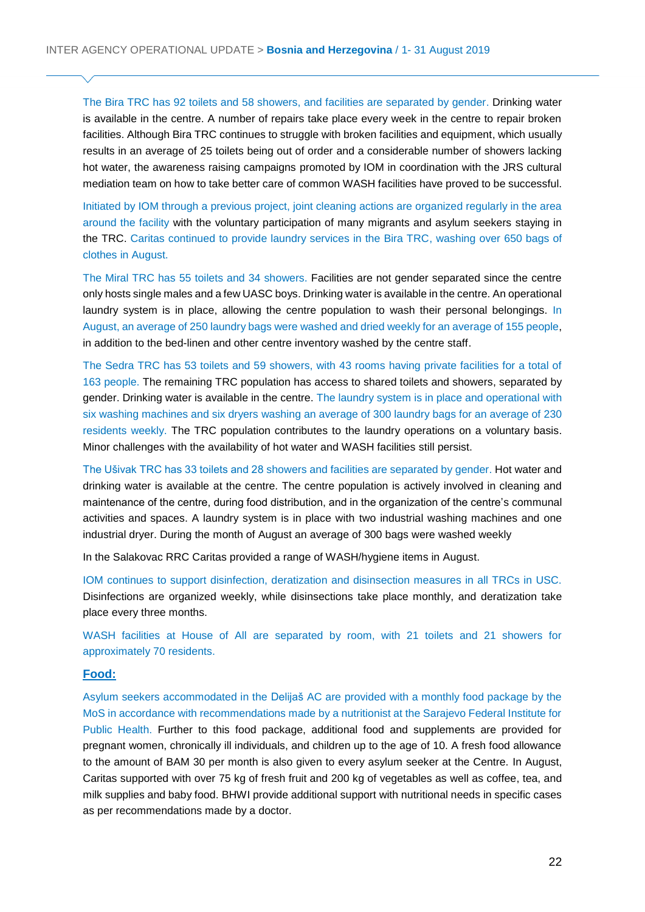The Bira TRC has 92 toilets and 58 showers, and facilities are separated by gender. Drinking water is available in the centre. A number of repairs take place every week in the centre to repair broken facilities. Although Bira TRC continues to struggle with broken facilities and equipment, which usually results in an average of 25 toilets being out of order and a considerable number of showers lacking hot water, the awareness raising campaigns promoted by IOM in coordination with the JRS cultural mediation team on how to take better care of common WASH facilities have proved to be successful.

Initiated by IOM through a previous project, joint cleaning actions are organized regularly in the area around the facility with the voluntary participation of many migrants and asylum seekers staying in the TRC. Caritas continued to provide laundry services in the Bira TRC, washing over 650 bags of clothes in August.

The Miral TRC has 55 toilets and 34 showers. Facilities are not gender separated since the centre only hosts single males and a few UASC boys. Drinking water is available in the centre. An operational laundry system is in place, allowing the centre population to wash their personal belongings. In August, an average of 250 laundry bags were washed and dried weekly for an average of 155 people, in addition to the bed-linen and other centre inventory washed by the centre staff.

The Sedra TRC has 53 toilets and 59 showers, with 43 rooms having private facilities for a total of 163 people. The remaining TRC population has access to shared toilets and showers, separated by gender. Drinking water is available in the centre. The laundry system is in place and operational with six washing machines and six dryers washing an average of 300 laundry bags for an average of 230 residents weekly. The TRC population contributes to the laundry operations on a voluntary basis. Minor challenges with the availability of hot water and WASH facilities still persist.

The Ušivak TRC has 33 toilets and 28 showers and facilities are separated by gender. Hot water and drinking water is available at the centre. The centre population is actively involved in cleaning and maintenance of the centre, during food distribution, and in the organization of the centre's communal activities and spaces. A laundry system is in place with two industrial washing machines and one industrial dryer. During the month of August an average of 300 bags were washed weekly

In the Salakovac RRC Caritas provided a range of WASH/hygiene items in August.

IOM continues to support disinfection, deratization and disinsection measures in all TRCs in USC. Disinfections are organized weekly, while disinsections take place monthly, and deratization take place every three months.

WASH facilities at House of All are separated by room, with 21 toilets and 21 showers for approximately 70 residents.

#### **Food:**

Asylum seekers accommodated in the Delijaš AC are provided with a monthly food package by the MoS in accordance with recommendations made by a nutritionist at the Sarajevo Federal Institute for Public Health. Further to this food package, additional food and supplements are provided for pregnant women, chronically ill individuals, and children up to the age of 10. A fresh food allowance to the amount of BAM 30 per month is also given to every asylum seeker at the Centre. In August, Caritas supported with over 75 kg of fresh fruit and 200 kg of vegetables as well as coffee, tea, and milk supplies and baby food. BHWI provide additional support with nutritional needs in specific cases as per recommendations made by a doctor.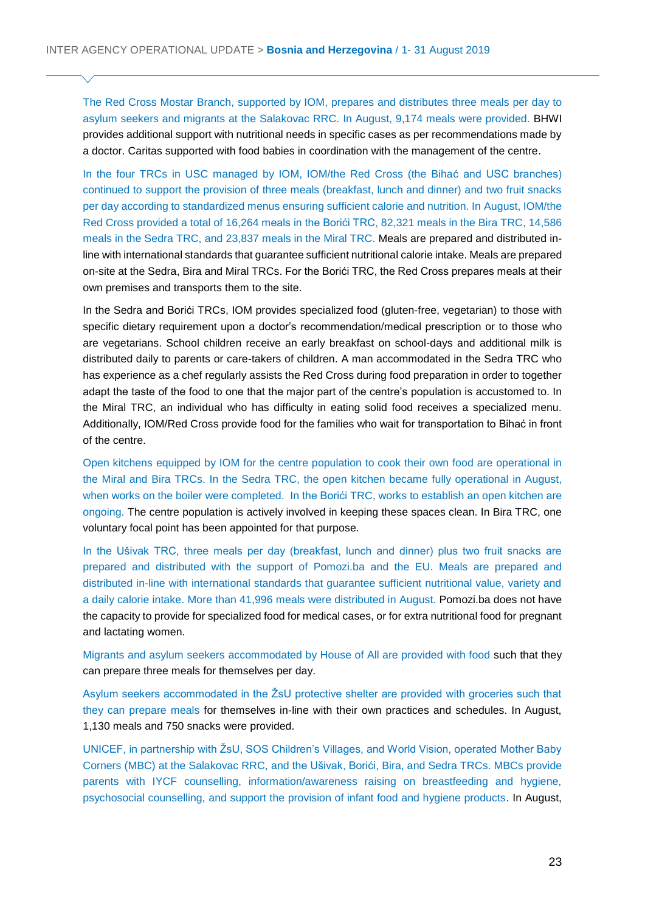The Red Cross Mostar Branch, supported by IOM, prepares and distributes three meals per day to asylum seekers and migrants at the Salakovac RRC. In August, 9,174 meals were provided. BHWI provides additional support with nutritional needs in specific cases as per recommendations made by a doctor. Caritas supported with food babies in coordination with the management of the centre.

In the four TRCs in USC managed by IOM, IOM/the Red Cross (the Bihać and USC branches) continued to support the provision of three meals (breakfast, lunch and dinner) and two fruit snacks per day according to standardized menus ensuring sufficient calorie and nutrition. In August, IOM/the Red Cross provided a total of 16,264 meals in the Borići TRC, 82,321 meals in the Bira TRC, 14,586 meals in the Sedra TRC, and 23,837 meals in the Miral TRC. Meals are prepared and distributed inline with international standards that guarantee sufficient nutritional calorie intake. Meals are prepared on-site at the Sedra, Bira and Miral TRCs. For the Borići TRC, the Red Cross prepares meals at their own premises and transports them to the site.

In the Sedra and Borići TRCs, IOM provides specialized food (gluten-free, vegetarian) to those with specific dietary requirement upon a doctor's recommendation/medical prescription or to those who are vegetarians. School children receive an early breakfast on school-days and additional milk is distributed daily to parents or care-takers of children. A man accommodated in the Sedra TRC who has experience as a chef regularly assists the Red Cross during food preparation in order to together adapt the taste of the food to one that the major part of the centre's population is accustomed to. In the Miral TRC, an individual who has difficulty in eating solid food receives a specialized menu. Additionally, IOM/Red Cross provide food for the families who wait for transportation to Bihać in front of the centre.

Open kitchens equipped by IOM for the centre population to cook their own food are operational in the Miral and Bira TRCs. In the Sedra TRC, the open kitchen became fully operational in August, when works on the boiler were completed. In the Borići TRC, works to establish an open kitchen are ongoing. The centre population is actively involved in keeping these spaces clean. In Bira TRC, one voluntary focal point has been appointed for that purpose.

In the Ušivak TRC, three meals per day (breakfast, lunch and dinner) plus two fruit snacks are prepared and distributed with the support of Pomozi.ba and the EU. Meals are prepared and distributed in-line with international standards that guarantee sufficient nutritional value, variety and a daily calorie intake. More than 41,996 meals were distributed in August. Pomozi.ba does not have the capacity to provide for specialized food for medical cases, or for extra nutritional food for pregnant and lactating women.

Migrants and asylum seekers accommodated by House of All are provided with food such that they can prepare three meals for themselves per day.

Asylum seekers accommodated in the ŽsU protective shelter are provided with groceries such that they can prepare meals for themselves in-line with their own practices and schedules. In August, 1,130 meals and 750 snacks were provided.

UNICEF, in partnership with ŽsU, SOS Children's Villages, and World Vision, operated Mother Baby Corners (MBC) at the Salakovac RRC, and the Ušivak, Borići, Bira, and Sedra TRCs. MBCs provide parents with IYCF counselling, information/awareness raising on breastfeeding and hygiene, psychosocial counselling, and support the provision of infant food and hygiene products. In August,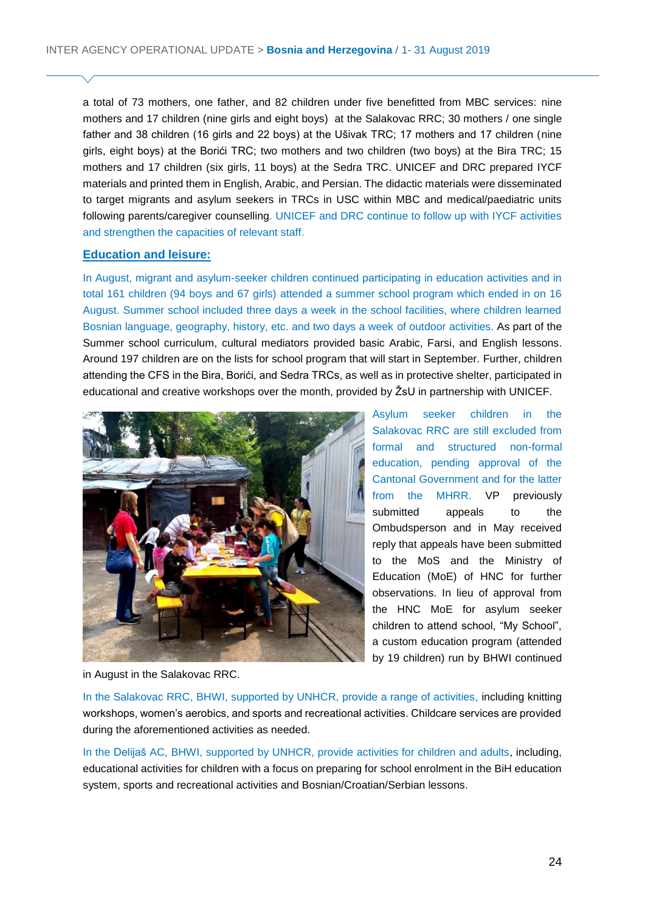a total of 73 mothers, one father, and 82 children under five benefitted from MBC services: nine mothers and 17 children (nine girls and eight boys) at the Salakovac RRC; 30 mothers / one single father and 38 children (16 girls and 22 boys) at the Ušivak TRC; 17 mothers and 17 children (nine girls, eight boys) at the Borići TRC; two mothers and two children (two boys) at the Bira TRC; 15 mothers and 17 children (six girls, 11 boys) at the Sedra TRC. UNICEF and DRC prepared IYCF materials and printed them in English, Arabic, and Persian. The didactic materials were disseminated to target migrants and asylum seekers in TRCs in USC within MBC and medical/paediatric units following parents/caregiver counselling. UNICEF and DRC continue to follow up with IYCF activities and strengthen the capacities of relevant staff.

### **Education and leisure:**

In August, migrant and asylum-seeker children continued participating in education activities and in total 161 children (94 boys and 67 girls) attended a summer school program which ended in on 16 August. Summer school included three days a week in the school facilities, where children learned Bosnian language, geography, history, etc. and two days a week of outdoor activities. As part of the Summer school curriculum, cultural mediators provided basic Arabic, Farsi, and English lessons. Around 197 children are on the lists for school program that will start in September. Further, children attending the CFS in the Bira, Borići, and Sedra TRCs, as well as in protective shelter, participated in educational and creative workshops over the month, provided by ŽsU in partnership with UNICEF.



Asylum seeker children in the Salakovac RRC are still excluded from formal and structured non-formal education, pending approval of the Cantonal Government and for the latter from the MHRR. VP previously submitted appeals to the Ombudsperson and in May received reply that appeals have been submitted to the MoS and the Ministry of Education (MoE) of HNC for further observations. In lieu of approval from the HNC MoE for asylum seeker children to attend school, "My School", a custom education program (attended by 19 children) run by BHWI continued

in August in the Salakovac RRC.

In the Salakovac RRC, BHWI, supported by UNHCR, provide a range of activities, including knitting workshops, women's aerobics, and sports and recreational activities. Childcare services are provided during the aforementioned activities as needed.

In the Delijaš AC, BHWI, supported by UNHCR, provide activities for children and adults, including, educational activities for children with a focus on preparing for school enrolment in the BiH education system, sports and recreational activities and Bosnian/Croatian/Serbian lessons.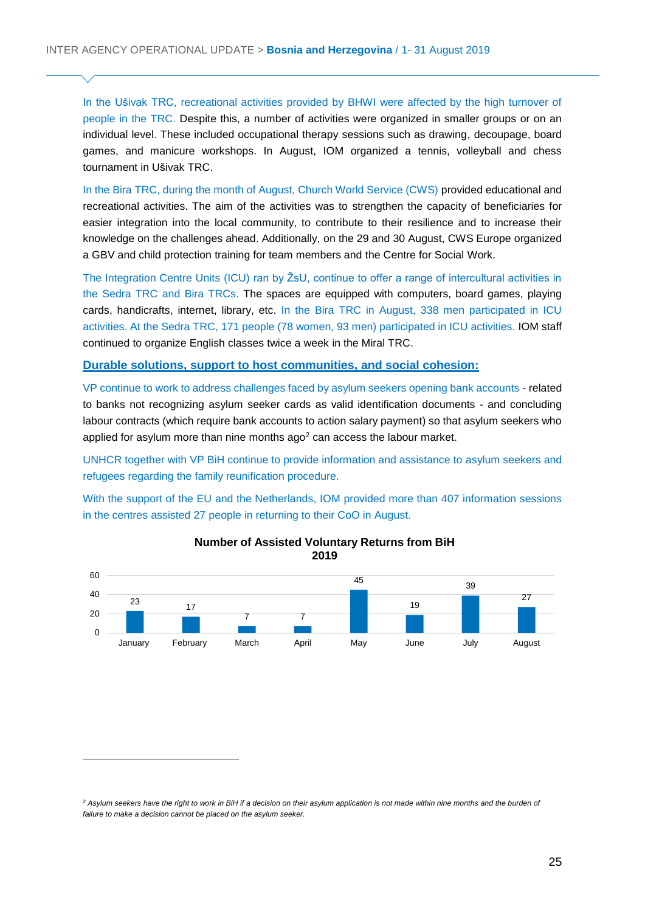In the Ušivak TRC, recreational activities provided by BHWI were affected by the high turnover of people in the TRC. Despite this, a number of activities were organized in smaller groups or on an individual level. These included occupational therapy sessions such as drawing, decoupage, board games, and manicure workshops. In August, IOM organized a tennis, volleyball and chess tournament in Ušivak TRC.

In the Bira TRC, during the month of August, Church World Service (CWS) provided educational and recreational activities. The aim of the activities was to strengthen the capacity of beneficiaries for easier integration into the local community, to contribute to their resilience and to increase their knowledge on the challenges ahead. Additionally, on the 29 and 30 August, CWS Europe organized a GBV and child protection training for team members and the Centre for Social Work.

The Integration Centre Units (ICU) ran by ŽsU, continue to offer a range of intercultural activities in the Sedra TRC and Bira TRCs. The spaces are equipped with computers, board games, playing cards, handicrafts, internet, library, etc. In the Bira TRC in August, 338 men participated in ICU activities. At the Sedra TRC, 171 people (78 women, 93 men) participated in ICU activities. IOM staff continued to organize English classes twice a week in the Miral TRC.

#### **Durable solutions, support to host communities, and social cohesion:**

VP continue to work to address challenges faced by asylum seekers opening bank accounts - related to banks not recognizing asylum seeker cards as valid identification documents - and concluding labour contracts (which require bank accounts to action salary payment) so that asylum seekers who applied for asylum more than nine months  $aqo<sup>2</sup>$  can access the labour market.

UNHCR together with VP BiH continue to provide information and assistance to asylum seekers and refugees regarding the family reunification procedure.

With the support of the EU and the Netherlands, IOM provided more than 407 information sessions in the centres assisted 27 people in returning to their CoO in August.





*<sup>2</sup> Asylum seekers have the right to work in BiH if a decision on their asylum application is not made within nine months and the burden of failure to make a decision cannot be placed on the asylum seeker.*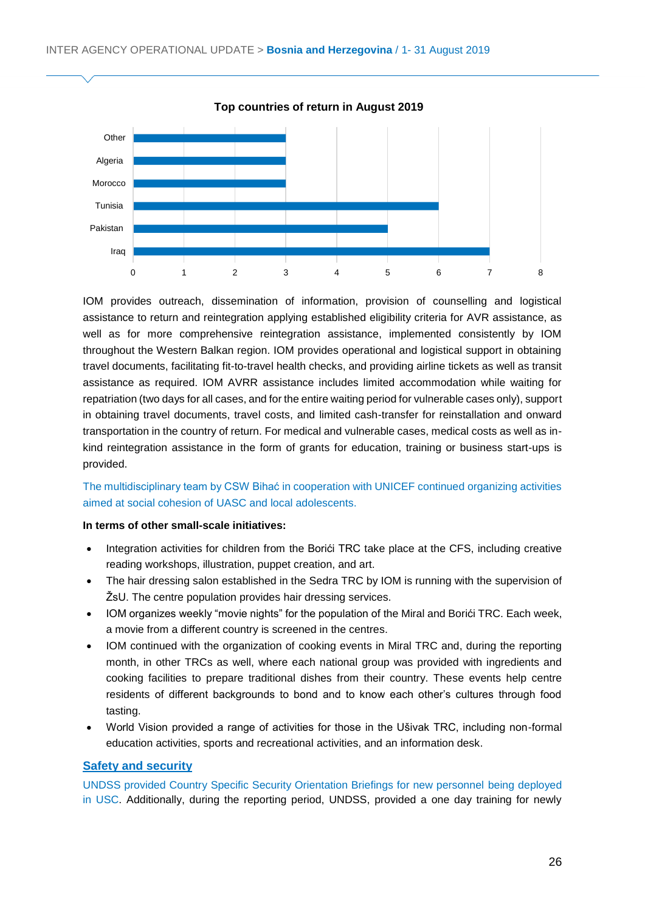

**Top countries of return in August 2019**

IOM provides outreach, dissemination of information, provision of counselling and logistical assistance to return and reintegration applying established eligibility criteria for AVR assistance, as well as for more comprehensive reintegration assistance, implemented consistently by IOM throughout the Western Balkan region. IOM provides operational and logistical support in obtaining travel documents, facilitating fit-to-travel health checks, and providing airline tickets as well as transit assistance as required. IOM AVRR assistance includes limited accommodation while waiting for repatriation (two days for all cases, and for the entire waiting period for vulnerable cases only), support in obtaining travel documents, travel costs, and limited cash-transfer for reinstallation and onward transportation in the country of return. For medical and vulnerable cases, medical costs as well as inkind reintegration assistance in the form of grants for education, training or business start-ups is provided.

The multidisciplinary team by CSW Bihać in cooperation with UNICEF continued organizing activities aimed at social cohesion of UASC and local adolescents.

#### **In terms of other small-scale initiatives:**

- Integration activities for children from the Borići TRC take place at the CFS, including creative reading workshops, illustration, puppet creation, and art.
- The hair dressing salon established in the Sedra TRC by IOM is running with the supervision of ŽsU. The centre population provides hair dressing services.
- IOM organizes weekly "movie nights" for the population of the Miral and Borići TRC. Each week, a movie from a different country is screened in the centres.
- IOM continued with the organization of cooking events in Miral TRC and, during the reporting month, in other TRCs as well, where each national group was provided with ingredients and cooking facilities to prepare traditional dishes from their country. These events help centre residents of different backgrounds to bond and to know each other's cultures through food tasting.
- World Vision provided a range of activities for those in the Ušivak TRC, including non-formal education activities, sports and recreational activities, and an information desk.

#### **Safety and security**

UNDSS provided Country Specific Security Orientation Briefings for new personnel being deployed in USC. Additionally, during the reporting period, UNDSS, provided a one day training for newly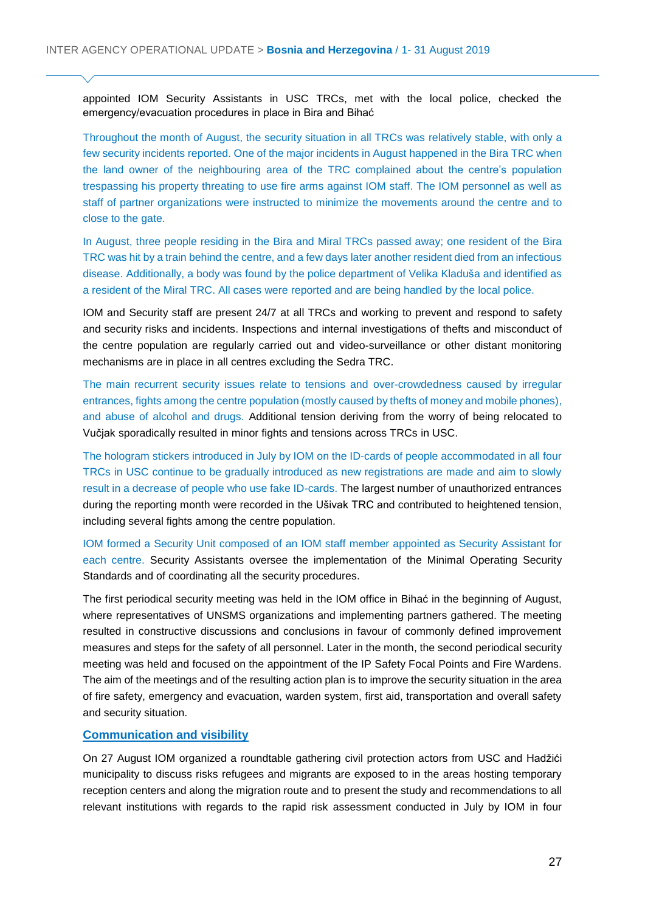appointed IOM Security Assistants in USC TRCs, met with the local police, checked the emergency/evacuation procedures in place in Bira and Bihać

Throughout the month of August, the security situation in all TRCs was relatively stable, with only a few security incidents reported. One of the major incidents in August happened in the Bira TRC when the land owner of the neighbouring area of the TRC complained about the centre's population trespassing his property threating to use fire arms against IOM staff. The IOM personnel as well as staff of partner organizations were instructed to minimize the movements around the centre and to close to the gate.

In August, three people residing in the Bira and Miral TRCs passed away; one resident of the Bira TRC was hit by a train behind the centre, and a few days later another resident died from an infectious disease. Additionally, a body was found by the police department of Velika Kladuša and identified as a resident of the Miral TRC. All cases were reported and are being handled by the local police.

IOM and Security staff are present 24/7 at all TRCs and working to prevent and respond to safety and security risks and incidents. Inspections and internal investigations of thefts and misconduct of the centre population are regularly carried out and video-surveillance or other distant monitoring mechanisms are in place in all centres excluding the Sedra TRC.

The main recurrent security issues relate to tensions and over-crowdedness caused by irregular entrances, fights among the centre population (mostly caused by thefts of money and mobile phones), and abuse of alcohol and drugs. Additional tension deriving from the worry of being relocated to Vučjak sporadically resulted in minor fights and tensions across TRCs in USC.

The hologram stickers introduced in July by IOM on the ID-cards of people accommodated in all four TRCs in USC continue to be gradually introduced as new registrations are made and aim to slowly result in a decrease of people who use fake ID-cards. The largest number of unauthorized entrances during the reporting month were recorded in the Ušivak TRC and contributed to heightened tension, including several fights among the centre population.

IOM formed a Security Unit composed of an IOM staff member appointed as Security Assistant for each centre. Security Assistants oversee the implementation of the Minimal Operating Security Standards and of coordinating all the security procedures.

The first periodical security meeting was held in the IOM office in Bihać in the beginning of August, where representatives of UNSMS organizations and implementing partners gathered. The meeting resulted in constructive discussions and conclusions in favour of commonly defined improvement measures and steps for the safety of all personnel. Later in the month, the second periodical security meeting was held and focused on the appointment of the IP Safety Focal Points and Fire Wardens. The aim of the meetings and of the resulting action plan is to improve the security situation in the area of fire safety, emergency and evacuation, warden system, first aid, transportation and overall safety and security situation.

### **Communication and visibility**

On 27 August IOM organized a roundtable gathering civil protection actors from USC and Hadžići municipality to discuss risks refugees and migrants are exposed to in the areas hosting temporary reception centers and along the migration route and to present the study and recommendations to all relevant institutions with regards to the rapid risk assessment conducted in July by IOM in four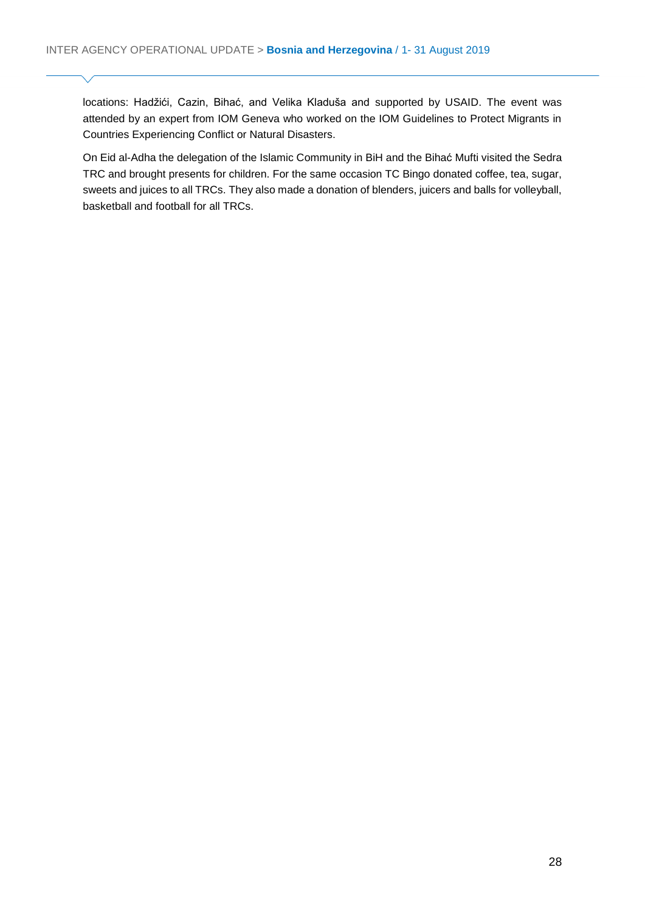locations: Hadžići, Cazin, Bihać, and Velika Kladuša and supported by USAID. The event was attended by an expert from IOM Geneva who worked on the IOM Guidelines to Protect Migrants in Countries Experiencing Conflict or Natural Disasters.

On Eid al-Adha the delegation of the Islamic Community in BiH and the Bihać Mufti visited the Sedra TRC and brought presents for children. For the same occasion TC Bingo donated coffee, tea, sugar, sweets and juices to all TRCs. They also made a donation of blenders, juicers and balls for volleyball, basketball and football for all TRCs.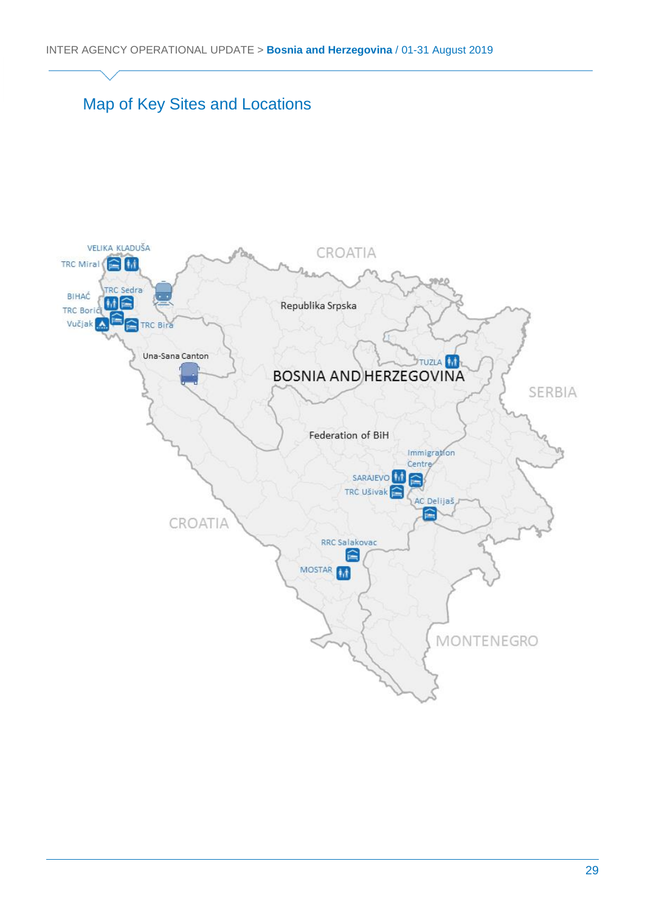# Map of Key Sites and Locations

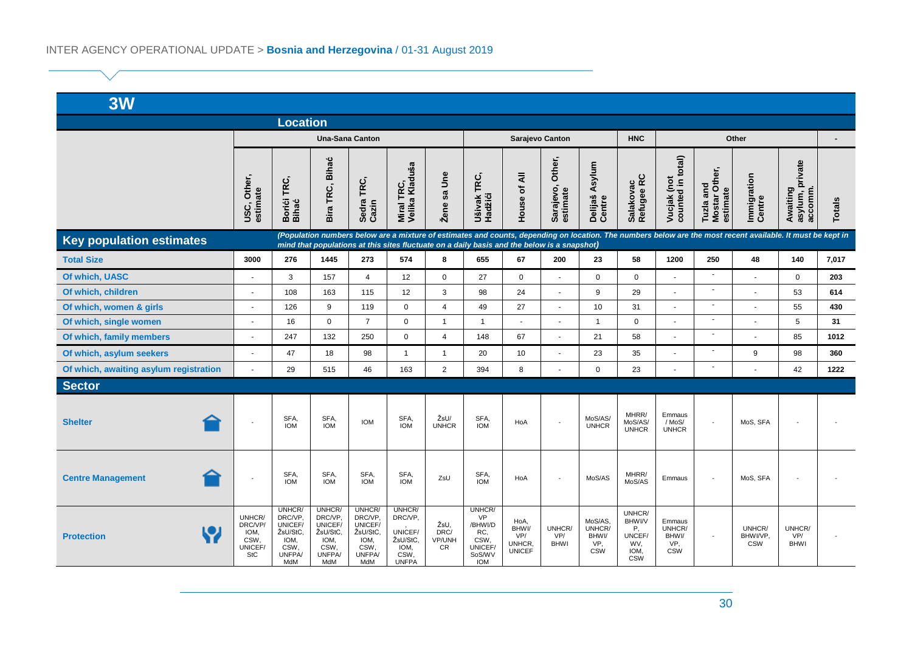| 3W                                                                                                                                                                                                                                                                                            |                                                            |                                                                                |                                                                                  |                                                                           |                                                                          |                                     |                                                                           |                                                 |                                 |                                                 |                                                               |                                                      |                                        |                                  |                                        |               |
|-----------------------------------------------------------------------------------------------------------------------------------------------------------------------------------------------------------------------------------------------------------------------------------------------|------------------------------------------------------------|--------------------------------------------------------------------------------|----------------------------------------------------------------------------------|---------------------------------------------------------------------------|--------------------------------------------------------------------------|-------------------------------------|---------------------------------------------------------------------------|-------------------------------------------------|---------------------------------|-------------------------------------------------|---------------------------------------------------------------|------------------------------------------------------|----------------------------------------|----------------------------------|----------------------------------------|---------------|
| <b>Location</b>                                                                                                                                                                                                                                                                               |                                                            |                                                                                |                                                                                  |                                                                           |                                                                          |                                     |                                                                           |                                                 |                                 |                                                 |                                                               |                                                      |                                        |                                  |                                        |               |
|                                                                                                                                                                                                                                                                                               |                                                            | <b>Una-Sana Canton</b>                                                         |                                                                                  |                                                                           |                                                                          | Sarajevo Canton                     |                                                                           |                                                 |                                 | <b>HNC</b>                                      | Other                                                         |                                                      |                                        |                                  |                                        |               |
|                                                                                                                                                                                                                                                                                               | USC, Other,<br>estimate                                    | Borići TRC,<br>Bihać                                                           | <b>Bihać</b><br>Bira TRC,                                                        | Sedra TRC,<br>Cazin                                                       | Miral TRC,<br>Velika Kladuša                                             | Žene sa Une                         | Ušivak TRC,<br>Hadžići                                                    | House of All                                    | Other,<br>Sarajevo,<br>estimate | Asylum<br>Delijaš<br>Centre                     | Salakovac<br>Refugee RC                                       | Vucjak (not<br>counted in total)                     | Tuzla and<br>Mostar Other,<br>estimate | Immigration<br>Centre            | Awaiting<br>asylum, private<br>accomm. | <b>Totals</b> |
| (Population numbers below are a mixture of estimates and counts, depending on location. The numbers below are the most recent available. It must be kept in<br><b>Key population estimates</b><br>mind that populations at this sites fluctuate on a daily basis and the below is a snapshot) |                                                            |                                                                                |                                                                                  |                                                                           |                                                                          |                                     |                                                                           |                                                 |                                 |                                                 |                                                               |                                                      |                                        |                                  |                                        |               |
| <b>Total Size</b>                                                                                                                                                                                                                                                                             | 3000                                                       | 276                                                                            | 1445                                                                             | 273                                                                       | 574                                                                      | 8                                   | 655                                                                       | 67                                              | 200                             | 23                                              | 58                                                            | 1200                                                 | 250                                    | 48                               | 140                                    | 7,017         |
| Of which, UASC                                                                                                                                                                                                                                                                                | ä,                                                         | 3                                                                              | 157                                                                              | $\overline{4}$                                                            | 12                                                                       | $\mathbf 0$                         | 27                                                                        | $\mathbf 0$                                     |                                 | $\mathbf 0$                                     | $\mathbf 0$                                                   |                                                      | $\sim$                                 |                                  | $\mathbf 0$                            | 203           |
| Of which, children                                                                                                                                                                                                                                                                            | ÷,                                                         | 108                                                                            | 163                                                                              | 115                                                                       | 12                                                                       | 3                                   | 98                                                                        | 24                                              | $\tilde{\phantom{a}}$           | 9                                               | 29                                                            | $\sim$                                               | $\overline{\phantom{a}}$               |                                  | 53                                     | 614           |
| Of which, women & girls                                                                                                                                                                                                                                                                       | $\blacksquare$                                             | 126                                                                            | 9                                                                                | 119                                                                       | $\Omega$                                                                 | $\overline{4}$                      | 49                                                                        | 27                                              | $\sim$                          | 10                                              | 31                                                            | $\sim$                                               | $\sim$                                 |                                  | 55                                     | 430           |
| Of which, single women                                                                                                                                                                                                                                                                        | ÷,                                                         | 16                                                                             | $\mathbf 0$                                                                      | $\overline{7}$                                                            | $\mathbf 0$                                                              | $\overline{1}$                      | $\mathbf{1}$                                                              |                                                 |                                 | $\mathbf{1}$                                    | $\mathbf 0$                                                   |                                                      | ÷,                                     |                                  | 5                                      | 31            |
| Of which, family members                                                                                                                                                                                                                                                                      | ä,                                                         | 247                                                                            | 132                                                                              | 250                                                                       | $\mathbf 0$                                                              | $\overline{4}$                      | 148                                                                       | 67                                              | ÷,                              | 21                                              | 58                                                            | $\sim$                                               | ÷.                                     |                                  | 85                                     | 1012          |
| Of which, asylum seekers                                                                                                                                                                                                                                                                      | ä,                                                         | 47                                                                             | 18                                                                               | 98                                                                        | $\mathbf{1}$                                                             | $\overline{1}$                      | 20                                                                        | 10                                              |                                 | 23                                              | 35                                                            | $\overline{\phantom{a}}$                             | $\sim$                                 | 9                                | 98                                     | 360           |
| Of which, awaiting asylum registration                                                                                                                                                                                                                                                        | $\overline{a}$                                             | 29                                                                             | 515                                                                              | 46                                                                        | 163                                                                      | $\overline{2}$                      | 394                                                                       | 8                                               |                                 | $\Omega$                                        | 23                                                            | $\sim$                                               | $\sim$                                 |                                  | 42                                     | 1222          |
| <b>Sector</b>                                                                                                                                                                                                                                                                                 |                                                            |                                                                                |                                                                                  |                                                                           |                                                                          |                                     |                                                                           |                                                 |                                 |                                                 |                                                               |                                                      |                                        |                                  |                                        |               |
| <b>Shelter</b>                                                                                                                                                                                                                                                                                |                                                            | SFA,<br><b>IOM</b>                                                             | SFA,<br><b>IOM</b>                                                               | <b>IOM</b>                                                                | SFA,<br><b>IOM</b>                                                       | ŽsU/<br><b>UNHCR</b>                | SFA,<br><b>IOM</b>                                                        | HoA                                             | $\overline{\phantom{a}}$        | MoS/AS/<br><b>UNHCR</b>                         | MHRR/<br>MoS/AS/<br><b>UNHCR</b>                              | Emmaus<br>/ MoS/<br><b>UNHCR</b>                     |                                        | MoS, SFA                         |                                        |               |
| <b>Centre Management</b>                                                                                                                                                                                                                                                                      | $\overline{\phantom{a}}$                                   | SFA,<br><b>IOM</b>                                                             | SFA,<br><b>IOM</b>                                                               | SFA,<br><b>IOM</b>                                                        | SFA,<br><b>IOM</b>                                                       | ZsU                                 | SFA,<br><b>IOM</b>                                                        | HoA                                             | $\sim$                          | MoS/AS                                          | MHRR/<br>MoS/AS                                               | Emmaus                                               | $\overline{\phantom{a}}$               | MoS, SFA                         |                                        |               |
| <b>Protection</b>                                                                                                                                                                                                                                                                             | UNHCR/<br>DRC/VP/<br>IOM,<br>CSW,<br>UNICEF/<br><b>StC</b> | UNHCR/<br>DRC/VP<br>UNICEF/<br>ŽsU/StC.<br>IOM,<br>CSW,<br><b>UNFPA</b><br>MdM | UNHCR/<br>DRC/VP,<br>UNICEF/<br>ŽsU/StC,<br>IOM,<br>CSW,<br><b>UNFPA/</b><br>MdM | UNHCR/<br>DRC/VP,<br>UNICEF/<br>ŽsU/StC.<br>IOM,<br>CSW,<br>UNFPA/<br>MdM | UNHCR/<br>DRC/VP,<br>UNICEF/<br>ŽsU/StC,<br>IOM,<br>CSW,<br><b>UNFPA</b> | ŽsU,<br>DRC/<br>VP/UNH<br><b>CR</b> | UNHCR/<br>VP<br>/BHWI/D<br>RC,<br>CSW,<br>UNICEF/<br>SoS/WV<br><b>IOM</b> | HoA,<br>BHWI/<br>VP/<br>UNHCR.<br><b>UNICEF</b> | UNHCR/<br>VP/<br><b>BHWI</b>    | MoS/AS,<br>UNHCR/<br>BHWI/<br>VP,<br><b>CSW</b> | UNHCR/<br>BHWI/V<br>Ρ,<br>UNCEF/<br>WV,<br>IOM,<br><b>CSW</b> | Emmaus<br>UNHCR/<br><b>BHWV</b><br>VP.<br><b>CSW</b> | $\sim$                                 | UNHCR/<br>BHWI/VP,<br><b>CSW</b> | UNHCR/<br>VP/<br><b>BHWI</b>           |               |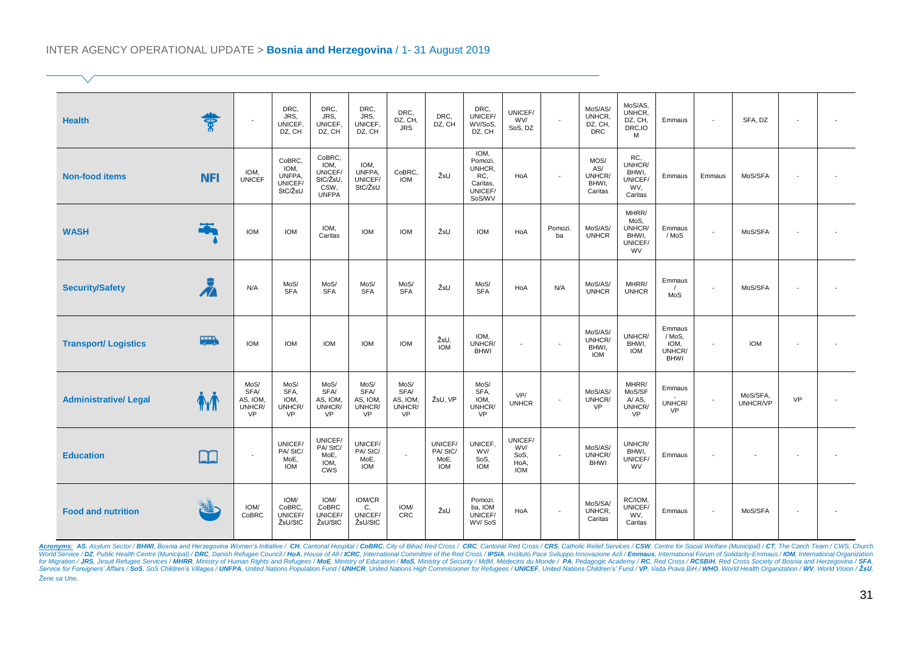#### INTER AGENCY OPERATIONAL UPDATE > **Bosnia and Herzegovina** / 1- 31 August 2019

| <b>Health</b>               | ङ्क             | $\sim$                                          | DRC,<br>JRS,<br>UNICEF.<br>DZ, CH              | DRC.<br>JRS.<br>UNICEF,<br>DZ, CH                             | DRC.<br>JRS,<br>UNICEF,<br>DZ, CH               | DRC,<br>DZ, CH,<br><b>JRS</b>                   | DRC,<br>DZ, CH                           | DRC,<br>UNICEF/<br>WV/SoS,<br>DZ, CH                              | UNICEF/<br>WV/<br>SoS, DZ                    | $\overline{\phantom{a}}$ | MoS/AS/<br>UNHCR,<br>DZ, CH,<br><b>DRC</b> | MoS/AS,<br>UNHCR,<br>DZ, CH,<br>DRC, IO<br>M        | Emmaus                                            |                          | SFA, DZ              |                          |  |
|-----------------------------|-----------------|-------------------------------------------------|------------------------------------------------|---------------------------------------------------------------|-------------------------------------------------|-------------------------------------------------|------------------------------------------|-------------------------------------------------------------------|----------------------------------------------|--------------------------|--------------------------------------------|-----------------------------------------------------|---------------------------------------------------|--------------------------|----------------------|--------------------------|--|
| <b>Non-food items</b>       | <b>NFI</b>      | IOM,<br>UNICEF                                  | CoBRC,<br>IOM,<br>UNFPA,<br>UNICEF/<br>StC/ŽsU | CoBRC,<br>IOM.<br>UNICEF/<br>StC/ŽsU.<br>CSW,<br><b>UNFPA</b> | IOM.<br>UNFPA,<br>UNICEF/<br>StC/ŽsU            | CoBRC,<br><b>IOM</b>                            | ŽsU                                      | IOM,<br>Pomozi,<br>UNHCR,<br>RC,<br>Caritas,<br>UNICEF/<br>SoS/WV | HoA                                          | $\sim$                   | MOS/<br>AS/<br>UNHCR/<br>BHWI,<br>Caritas  | RC,<br>UNHCR/<br>BHWI,<br>UNICEF/<br>WV,<br>Caritas | Emmaus                                            | Emmaus                   | MoS/SFA              |                          |  |
| <b>WASH</b>                 |                 | <b>IOM</b>                                      | <b>IOM</b>                                     | IOM,<br>Caritas                                               | <b>IOM</b>                                      | <b>IOM</b>                                      | ŽsU                                      | <b>IOM</b>                                                        | HoA                                          | Pomozi.<br>ba            | MoS/AS/<br><b>UNHCR</b>                    | MHRR/<br>MoS,<br>UNHCR/<br>BHWI,<br>UNICEF/<br>WV   | Emmaus<br>/ MoS                                   |                          | MoS/SFA              |                          |  |
| <b>Security/Safety</b>      | Ă               | N/A                                             | MoS/<br><b>SFA</b>                             | MoS/<br><b>SFA</b>                                            | MoS/<br><b>SFA</b>                              | MoS/<br><b>SFA</b>                              | ŽsU                                      | MoS/<br><b>SFA</b>                                                | HoA                                          | N/A                      | MoS/AS/<br><b>UNHCR</b>                    | MHRR/<br><b>UNHCR</b>                               | Emmaus<br>MoS                                     |                          | MoS/SFA              |                          |  |
| <b>Transport/ Logistics</b> | $\overline{a}$  | <b>IOM</b>                                      | <b>IOM</b>                                     | <b>IOM</b>                                                    | <b>IOM</b>                                      | <b>IOM</b>                                      | ŽsU,<br><b>IOM</b>                       | IOM,<br>UNHCR/<br><b>BHWI</b>                                     | $\overline{\phantom{a}}$                     | $\sim$                   | MoS/AS/<br>UNHCR/<br>BHWI,<br><b>IOM</b>   | UNHCR/<br>BHWI,<br><b>IOM</b>                       | Emmaus<br>/ MoS,<br>IOM,<br>UNHCR/<br><b>BHWI</b> | $\sim$                   | <b>IOM</b>           |                          |  |
| <b>Administrative/Legal</b> | <b>The Term</b> | MoS/<br>SFA/<br>AS, IOM,<br>UNHCR/<br><b>VP</b> | MoS/<br>SFA,<br>IOM,<br>UNHCR/<br>VP           | MoS/<br>SFA/<br>AS, IOM.<br>UNHCR/<br><b>VP</b>               | MoS/<br>SFA/<br>AS, IOM,<br>UNHCR/<br><b>VP</b> | MoS/<br>SFA/<br>AS, IOM.<br>UNHCR/<br><b>VP</b> | ŽsU, VP                                  | MoS/<br>SFA,<br>IOM,<br>UNHCR/<br><b>VP</b>                       | VP/<br><b>UNHCR</b>                          | $\sim$                   | MoS/AS/<br>UNHCR/<br><b>VP</b>             | MHRR/<br>MoS/SF<br>A/AS,<br>UNHCR/<br><b>VP</b>     | Emmaus<br>UNHCR/<br><b>VP</b>                     |                          | MoS/SFA,<br>UNHCR/VP | VP                       |  |
| <b>Education</b>            | $\Box$          | $\overline{\phantom{a}}$                        | UNICEF/<br>PA/StC/<br>MoE,<br><b>IOM</b>       | UNICEF/<br>PA/StC/<br>MoE,<br>IOM,<br><b>CWS</b>              | UNICEF/<br>PA/StC/<br>MoE,<br><b>IOM</b>        | $\mathcal{L}$                                   | UNICEF/<br>PA/StC/<br>MoE,<br><b>IOM</b> | UNICEF,<br>WV/<br>SoS,<br><b>IOM</b>                              | UNICEF/<br>WV/<br>SoS,<br>HoA,<br><b>IOM</b> | $\blacksquare$           | MoS/AS/<br>UNHCR/<br><b>BHWI</b>           | UNHCR/<br>BHWI,<br>UNICEF/<br>WV                    | Emmaus                                            |                          |                      | $\overline{\phantom{a}}$ |  |
| <b>Food and nutrition</b>   |                 | IOM/<br>CoBRC                                   | IOM/<br>CoBRC,<br>UNICEF/<br>ŽsU/StC           | IOM/<br>CoBRC<br>UNICEF/<br>ŽsU/StC                           | IOM/CR<br>C,<br>UNICEF/<br>ŽsU/StC              | IOM/<br><b>CRC</b>                              | ŽsU                                      | Pomozi.<br>ba, IOM<br>UNICEF/<br>WV/SoS                           | HoA                                          | $\blacksquare$           | MoS/SA/<br>UNHCR,<br>Caritas               | RC/IOM,<br>UNICEF/<br>WV.<br>Caritas                | Emmaus                                            | $\overline{\phantom{a}}$ | MoS/SFA              |                          |  |

Acronyms: AS, Asylum Sector/BHWI, Bosnia and Herzegovina Women's Initiative / CH, Cantonal Hospital / CoBRC, City of Bihać Red Cross / CRC, Cantonal Red Cross / CRS, Catholic Relief Services / CSW, Center for Social Welfar *Žene sa Une.*